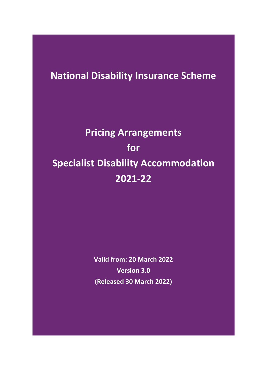## **National Disability Insurance Scheme**

# **Pricing Arrangements for Specialist Disability Accommodation 2021-22**

**Valid from: 20 March 2022 Version 3.0 (Released 30 March 2022)**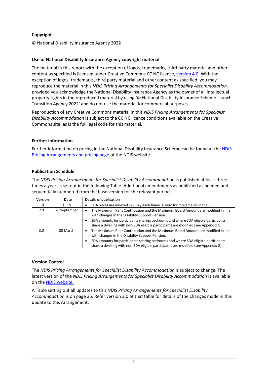### **Copyright**

© National Disability Insurance Agency 2022

#### **Use of National Disability Insurance Agency copyright material**

The material in this report with the exception of logos, trademarks, third party material and other content as specified is licensed under Creative Commons CC NC licence, [version 4.0.](https://creativecommons.org/licenses/by/4.0/) With the exception of logos, trademarks, third party material and other content as specified, you may reproduce the material in this *NDIS Pricing Arrangements for Specialist Disability Accommodation,* provided you acknowledge the National Disability Insurance Agency as the owner of all intellectual property rights in the reproduced material by using '© National Disability Insurance Scheme Launch Transition Agency 2022' and do not use the material for commercial purposes.

Reproduction of any Creative Commons material in this *NDIS Pricing Arrangements for Specialist Disability Accommodation* is subject to the CC NC licence conditions available on the Creative Commons site, as is the full legal code for this material.

#### **Further information**

Further information on pricing in the National Disability Insurance Scheme can be found at the NDIS [Pricing Arrangements and pricing page](https://www.ndis.gov.au/providers/price-guides-and-information) of the NDIS website.

#### **Publication Schedule**

The *NDIS Pricing Arrangements for Specialist Disability Accommodation* is published at least three times a year as set out in the following Table. Additional amendments as published as needed and sequentially numbered from the base version for the relevant period.

| <b>Version</b>   | Date         | <b>Details of publication</b>                                                                                                                                                                                                                                                                                      |
|------------------|--------------|--------------------------------------------------------------------------------------------------------------------------------------------------------------------------------------------------------------------------------------------------------------------------------------------------------------------|
| 1.0 <sub>1</sub> | 1 July       | SDA prices are indexed in 1 July each financial year for movements in the CPI                                                                                                                                                                                                                                      |
| 2.0              | 20 September | The Maximum Rent Contribution and the Maximum Board Amount are modified in line<br>with changes in the Disability Support Pension.<br>SDA amounts for participants sharing bedrooms and where SDA eligible participants<br>share a dwelling with non-SDA eligible participants are modified (see Appendix G).      |
| 3.0 <sub>2</sub> | 20 March     | The Maximum Rent Contribution and the Maximum Board Amount are modified in line<br>٠<br>with changes in the Disability Support Pension.<br>SDA amounts for participants sharing bedrooms and where SDA eligible participants<br>share a dwelling with non-SDA eligible participants are modified (see Appendix G). |

### **Version Control**

The *NDIS Pricing Arrangements for Specialist Disability Accommodation* is subject to change. The latest version of the *NDIS Pricing Arrangements for Specialist Disability Accommodation* is available on th[e NDIS website.](https://www.ndis.gov.au/providers/price-guides-and-information/sda-pricing-and-payments)

A Table setting out all updates to this *NDIS Pricing Arrangements for Specialist Disability Accommodation* is on page [35.](#page-34-0) Refer version 3.0 of that table for details of the changes made in this update to this Arrangement.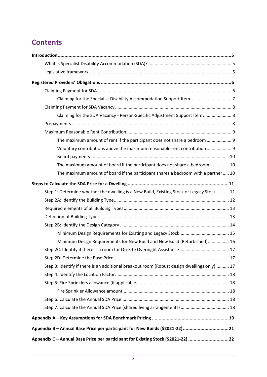## **Contents**

| Claiming for the SDA Vacancy - Person-Specific Adjustment Support Item 8                    |
|---------------------------------------------------------------------------------------------|
|                                                                                             |
|                                                                                             |
| The maximum amount of rent if the participant does not share a bedroom  9                   |
| Voluntary contributions above the maximum reasonable rent contribution  9                   |
|                                                                                             |
| The maximum amount of board if the participant does not share a bedroom  10                 |
| The maximum amount of board if the participant shares a bedroom with a partner 10           |
|                                                                                             |
| Step 1: Determine whether the dwelling is a New Build, Existing Stock or Legacy Stock  11   |
|                                                                                             |
|                                                                                             |
|                                                                                             |
|                                                                                             |
|                                                                                             |
| Minimum Design Requirements for New Build and New Build (Refurbished) 16                    |
|                                                                                             |
|                                                                                             |
| Step 3: Identify if there is an additional breakout room (Robust design dwellings only)  17 |
|                                                                                             |
|                                                                                             |
|                                                                                             |
|                                                                                             |
|                                                                                             |
|                                                                                             |
| Appendix B - Annual Base Price per participant for New Builds (\$2021-22)21                 |
| Appendix C - Annual Base Price per participant for Existing Stock (\$2021-22) 22            |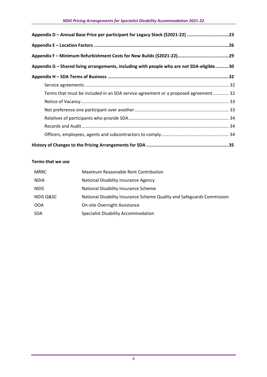| Appendix D - Annual Base Price per participant for Legacy Stock (\$2021-22) 23            |  |
|-------------------------------------------------------------------------------------------|--|
|                                                                                           |  |
|                                                                                           |  |
| Appendix G – Shared living arrangements, including with people who are not SDA-eligible30 |  |
|                                                                                           |  |
|                                                                                           |  |
| Terms that must be included in an SDA service agreement or a proposed agreement 32        |  |
|                                                                                           |  |
|                                                                                           |  |
|                                                                                           |  |
|                                                                                           |  |
|                                                                                           |  |
|                                                                                           |  |

### **Terms that we use**

| <b>MRRC</b>          | Maximum Reasonable Rent Contribution                                   |
|----------------------|------------------------------------------------------------------------|
| <b>NDIA</b>          | National Disability Insurance Agency                                   |
| <b>NDIS</b>          | National Disability Insurance Scheme                                   |
| <b>NDIS Q&amp;SC</b> | National Disability Insurance Scheme Quality and Safeguards Commission |
| 00A                  | <b>On-site Overnight Assistance</b>                                    |
| <b>SDA</b>           | <b>Specialist Disability Accommodation</b>                             |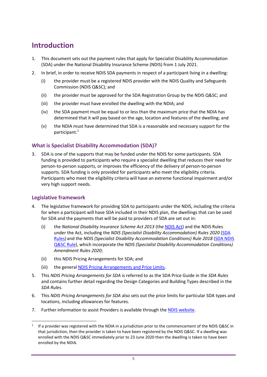## <span id="page-4-0"></span>**Introduction**

- 1. This document sets out the payment rules that apply for Specialist Disability Accommodation (SDA) under the National Disability Insurance Scheme (NDIS) from 1 July 2021.
- 2. In brief, in order to receive NDIS SDA payments in respect of a participant living in a dwelling:
	- (i) the provider must be a registered NDIS provider with the NDIS Quality and Safeguards Commission (NDIS Q&SC); and
	- (ii) the provider must be approved for the SDA Registration Group by the NDIS Q≻ and
	- (iii) the provider must have enrolled the dwelling with the NDIA; and
	- (iv) the SDA payment must be equal to or less than the maximum price that the NDIA has determined that it will pay based on the age, location and features of the dwelling; and
	- (v) the NDIA must have determined that SDA is a reasonable and necessary support for the participant. 1

## <span id="page-4-1"></span>**What is Specialist Disability Accommodation (SDA)?**

3. SDA is one of the supports that may be funded under the NDIS for some participants. SDA funding is provided to participants who require a specialist dwelling that reduces their need for person-to-person supports, or improves the efficiency of the delivery of person-to-person supports. SDA funding is only provided for participants who meet the eligibility criteria. Participants who meet the eligibility criteria will have an extreme functional impairment and/or very high support needs.

## <span id="page-4-2"></span>**Legislative framework**

- 4. The legislative framework for providing SDA to participants under the NDIS, including the criteria for when a participant will have SDA included in their NDIS plan, the dwellings that can be used for SDA and the payments that will be paid to providers of SDA are set out in:
	- (i) the *National Disability Insurance Scheme Act 2013* (th[e NDIS Act\)](https://www.legislation.gov.au/Details/C2020C00392) and the NDIS Rules under the Act, including the *NDIS (Specialist Disability Accommodation) Rules 2020* [\(SDA](https://www.legislation.gov.au/Details/F2020L00769)  [Rules\)](https://www.legislation.gov.au/Details/F2020L00769) and the *NDIS (Specialist Disability Accommodation Conditions) Rule 2018* [\(SDA NDIS](https://www.legislation.gov.au/Details/F2020C00549)  [Q&SC](https://www.legislation.gov.au/Details/F2020C00549) Rule), which incorporate the *NDIS (Specialist Disability Accommodation Conditions) Amendment Rules 2020*;
	- (ii) this NDIS Pricing Arrangements for SDA; and
	- (iii) the general [NDIS Pricing Arrangements and Price Limits.](https://www.ndis.gov.au/providers/price-guides-and-pricing)
- 5. This *NDIS Pricing Arrangements for SDA* is referred to as the SDA Price Guide in the *SDA Rules*  and contains further detail regarding the Design Categories and Building Types described in the *SDA Rules*.
- 6. This *NDIS Pricing Arrangements for SDA* also sets out the price limits for particular SDA types and locations, including allowances for features.
- 7. Further information to assist Providers is available through the [NDIS website.](https://www.ndis.gov.au/providers/housing-and-living-supports-and-services/housing/specialist-disability-accommodation)

<sup>&</sup>lt;sup>1</sup> If a provider was registered with the NDIA in a jurisdiction prior to the commencement of the NDIS Q&SC in that jurisdiction, then the provider is taken to have been registered by the NDIS Q&SC. If a dwelling was enrolled with the NDIS Q&SC immediately prior to 23 June 2020 then the dwelling is taken to have been enrolled by the NDIA.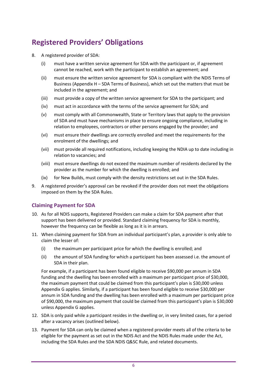## <span id="page-5-0"></span>**Registered Providers' Obligations**

- 8. A registered provider of SDA:
	- (i) must have a written service agreement for SDA with the participant or, if agreement cannot be reached, work with the participant to establish an agreement; and
	- (ii) must ensure the written service agreement for SDA is compliant with the NDIS Terms of Business (Appendix H – [SDA Terms of Business\)](#page-31-0), which set out the matters that must be included in the agreement; and
	- (iii) must provide a copy of the written service agreement for SDA to the participant; and
	- (iv) must act in accordance with the terms of the service agreement for SDA; and
	- (v) must comply with all Commonwealth, State or Territory laws that apply to the provision of SDA and must have mechanisms in place to ensure ongoing compliance, including in relation to employees, contractors or other persons engaged by the provider; and
	- (vi) must ensure their dwellings are correctly enrolled and meet the requirements for the enrolment of the dwellings; and
	- (vii) must provide all required notifications, including keeping the NDIA up to date including in relation to vacancies; and
	- (viii) must ensure dwellings do not exceed the maximum number of residents declared by the provider as the number for which the dwelling is enrolled; and
	- (ix) for New Builds, must comply with the density restrictions set out in the SDA Rules.
- 9. A registered provider's approval can be revoked if the provider does not meet the obligations imposed on them by the SDA Rules.

### <span id="page-5-1"></span>**Claiming Payment for SDA**

- 10. As for all NDIS supports, Registered Providers can make a claim for SDA payment after that support has been delivered or provided. Standard claiming frequency for SDA is monthly, however the frequency can be flexible as long as it is in arrears.
- 11. When claiming payment for SDA from an individual participant's plan, a provider is only able to claim the lesser of:
	- (i) the maximum per participant price for which the dwelling is enrolled; and
	- (ii) the amount of SDA funding for which a participant has been assessed i.e. the amount of SDA in their plan.

For example, if a participant has been found eligible to receive \$90,000 per annum in SDA funding and the dwelling has been enrolled with a maximum per participant price of \$30,000, the maximum payment that could be claimed from this participant's plan is \$30,000 unless Appendix G applies. Similarly, if a participant has been found eligible to receive \$30,000 per annum in SDA funding and the dwelling has been enrolled with a maximum per participant price of \$90,000, the maximum payment that could be claimed from this participant's plan is \$30,000 unless Appendix G applies.

- 12. SDA is only paid while a participant resides in the dwelling or, in very limited cases, for a period after a vacancy arises (outlined below).
- 13. Payment for SDA can only be claimed when a registered provider meets all of the criteria to be eligible for the payment as set out in the NDIS Act and the NDIS Rules made under the Act, including the SDA Rules and the SDA NDIS Q&SC Rule, and related documents.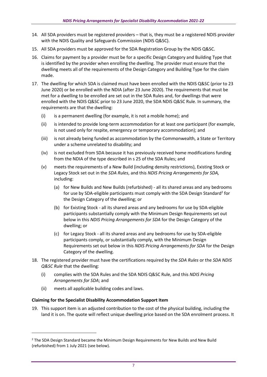- 14. All SDA providers must be registered providers that is, they must be a registered NDIS provider with the NDIS Quality and Safeguards Commission (NDIS Q&SC).
- 15. All SDA providers must be approved for the SDA Registration Group by the NDIS Q&SC.
- 16. Claims for payment by a provider must be for a specific Design Category and Building Type that is identified by the provider when enrolling the dwelling. The provider must ensure that the dwelling meets all of the requirements of the Design Category and Building Type for the claim made.
- 17. The dwelling for which SDA is claimed must have been enrolled with the NDIS Q&SC (prior to 23 June 2020) or be enrolled with the NDIA (after 23 June 2020). The requirements that must be met for a dwelling to be enrolled are set out in the SDA Rules and, for dwellings that were enrolled with the NDIS Q&SC prior to 23 June 2020, the SDA NDIS Q&SC Rule. In summary, the requirements are that the dwelling:
	- (i) is a permanent dwelling (for example, it is not a mobile home); and
	- (ii) is intended to provide long-term accommodation for at least one participant (for example, is not used only for respite, emergency or temporary accommodation); and
	- (iii) is not already being funded as accommodation by the Commonwealth, a State or Territory under a scheme unrelated to disability; and
	- (iv) is not excluded from SDA because it has previously received home modifications funding from the NDIA of the type described in s 25 of the SDA Rules; and
	- (v) meets the requirements of a New Build (including density restrictions), Existing Stock or Legacy Stock set out in the *SDA Rules*, and this *NDIS Pricing Arrangements for SDA,* including:
		- (a) for New Builds and New Builds (refurbished) all its shared areas and any bedrooms for use by SDA-eligible participants must comply with the SDA Design Standard<sup>2</sup> for the Design Category of the dwelling; or
		- (b) for Existing Stock all its shared areas and any bedrooms for use by SDA-eligible participants substantially comply with the Minimum Design Requirements set out below in this *NDIS Pricing Arrangements for SDA* for the Design Category of the dwelling; or
		- (c) for Legacy Stock all its shared areas and any bedrooms for use by SDA-eligible participants comply, or substantially comply, with the Minimum Design Requirements set out below in this *NDIS Pricing Arrangements for SDA* for the Design Category of the dwelling.
- 18. The registered provider must have the certifications required by the *SDA Rules* or the *SDA NDIS Q&SC Rule* that the dwelling:
	- (i) complies with the SDA Rules and the SDA NDIS Q&SC Rule, and this *NDIS Pricing Arrangements for SDA*; and
	- (ii) meets all applicable building codes and laws.

### <span id="page-6-0"></span>**Claiming for the Specialist Disability Accommodation Support Item**

19. This support item is an adjusted contribution to the cost of the physical building, including the land it is on. The quote will reflect unique dwelling price based on the SDA enrolment process. It

<sup>&</sup>lt;sup>2</sup> The SDA Design Standard became the Minimum Design Requirements for New Builds and New Build (refurbished) from 1 July 2021 (see below).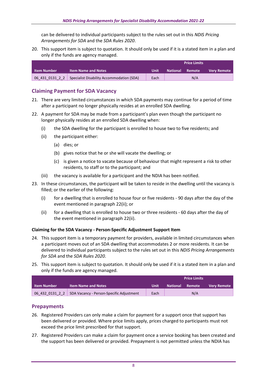can be delivered to individual participants subject to the rules set out in this *NDIS Pricing Arrangements for SDA* and the *SDA Rules 2020*.

20. This support item is subject to quotation. It should only be used if it is a stated item in a plan and only if the funds are agency managed.

|             |                                                             | <b>Price Limits</b> |                 |        |                    |
|-------------|-------------------------------------------------------------|---------------------|-----------------|--------|--------------------|
| ltem Number | <b>Item Name and Notes</b>                                  | /Unit               | <b>National</b> | Remote | <b>Very Remote</b> |
|             | 06 431 0131 2 2   Specialist Disability Accommodation (SDA) | Each                |                 | N/A    |                    |

## <span id="page-7-0"></span>**Claiming Payment for SDA Vacancy**

- 21. There are very limited circumstances in which SDA payments may continue for a period of time after a participant no longer physically resides at an enrolled SDA dwelling.
- <span id="page-7-3"></span>22. A payment for SDA may be made from a participant's plan even though the participant no longer physically resides at an enrolled SDA dwelling when:
	- (i) the SDA dwelling for the participant is enrolled to house two to five residents; and
	- (ii) the participant either:
		- (a) dies; or
		- (b) gives notice that he or she will vacate the dwelling; or
		- (c) is given a notice to vacate because of behaviour that might represent a risk to other residents, to staff or to the participant; and
	- (iii) the vacancy is available for a participant and the NDIA has been notified.
- 23. In these circumstances, the participant will be taken to reside in the dwelling until the vacancy is filled; or the earlier of the following:
	- (i) for a dwelling that is enrolled to house four or five residents 90 days after the day of the event mentioned in paragraph [22\(ii\);](#page-7-3) or
	- (ii) for a dwelling that is enrolled to house two or three residents 60 days after the day of the event mentioned in paragrap[h 22\(ii\).](#page-7-3)

#### <span id="page-7-1"></span>**Claiming for the SDA Vacancy - Person-Specific Adjustment Support Item**

- 24. This support item is a temporary payment for providers, available in limited circumstances when a participant moves out of an SDA dwelling that accommodates 2 or more residents. It can be delivered to individual participants subject to the rules set out in this *NDIS Pricing Arrangements for SDA* and the *SDA Rules 2020*.
- 25. This support item is subject to quotation. It should only be used if it is a stated item in a plan and only if the funds are agency managed.

|                    |                                                            | <b>Price Limits</b> |                        |     |                    |
|--------------------|------------------------------------------------------------|---------------------|------------------------|-----|--------------------|
| <b>Item Number</b> | l Item Name and Notes <b>1</b>                             | Unit                | <b>National Remote</b> |     | <b>Very Remote</b> |
|                    | 06 432 0131 2 2   SDA Vacancy - Person-Specific Adjustment | Each                |                        | N/A |                    |

### <span id="page-7-2"></span>**Prepayments**

- 26. Registered Providers can only make a claim for payment for a support once that support has been delivered or provided. Where price limits apply, prices charged to participants must not exceed the price limit prescribed for that support.
- 27. Registered Providers can make a claim for payment once a service booking has been created and the support has been delivered or provided. Prepayment is not permitted unless the NDIA has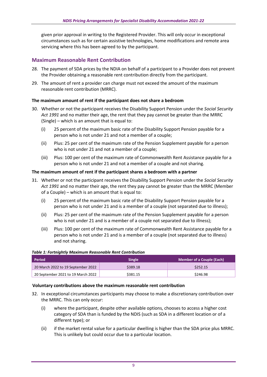given prior approval in writing to the Registered Provider. This will only occur in exceptional circumstances such as for certain assistive technologies, home modifications and remote area servicing where this has been agreed to by the participant.

## <span id="page-8-0"></span>**Maximum Reasonable Rent Contribution**

- 28. The payment of SDA prices by the NDIA on behalf of a participant to a Provider does not prevent the Provider obtaining a reasonable rent contribution directly from the participant.
- 29. The amount of rent a provider can charge must not exceed the amount of the maximum reasonable rent contribution (MRRC).

#### <span id="page-8-1"></span>**The maximum amount of rent if the participant does not share a bedroom**

- 30. Whether or not the participant receives the Disability Support Pension under the *Social Security Act 1991* and no matter their age, the rent that they pay cannot be greater than the MRRC (Single) – which is an amount that is equal to:
	- (i) 25 percent of the maximum basic rate of the Disability Support Pension payable for a person who is not under 21 and not a member of a couple;
	- (ii) Plus: 25 per cent of the maximum rate of the Pension Supplement payable for a person who is not under 21 and not a member of a couple;
	- (iii) Plus: 100 per cent of the maximum rate of Commonwealth Rent Assistance payable for a person who is not under 21 and not a member of a couple and not sharing.

#### **The maximum amount of rent if the participant shares a bedroom with a partner**

- 31. Whether or not the participant receives the Disability Support Pension under the *Social Security Act 1991* and no matter their age, the rent they pay cannot be greater than the MRRC (Member of a Couple) – which is an amount that is equal to:
	- (i) 25 percent of the maximum basic rate of the Disability Support Pension payable for a person who is not under 21 and is a member of a couple (not separated due to illness);
	- (ii) Plus: 25 per cent of the maximum rate of the Pension Supplement payable for a person who is not under 21 and is a member of a couple not separated due to illness);
	- (iii) Plus: 100 per cent of the maximum rate of Commonwealth Rent Assistance payable for a person who is not under 21 and is a member of a couple (not separated due to illness) and not sharing.

| Period                             | <b>Single</b> | <b>Member of a Couple (Each)</b> |
|------------------------------------|---------------|----------------------------------|
| 20 March 2022 to 19 September 2022 | \$389.18      | \$252.15                         |
| 20 September 2021 to 19 March 2022 | \$381.15      | \$246.98                         |

#### *Table 1: Fortnightly Maximum Reasonable Rent Contribution*

#### <span id="page-8-2"></span>**Voluntary contributions above the maximum reasonable rent contribution**

- 32. In exceptional circumstances participants may choose to make a discretionary contribution over the MRRC. This can only occur:
	- (i) where the participant, despite other available options, chooses to access a higher cost category of SDA than is funded by the NDIS (such as SDA in a different location or of a different type); or
	- (ii) if the market rental value for a particular dwelling is higher than the SDA price plus MRRC. This is unlikely but could occur due to a particular location.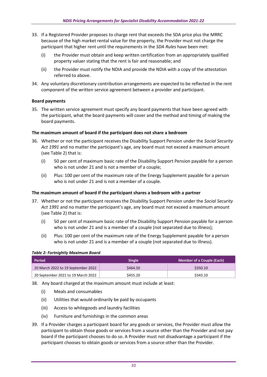- 33. If a Registered Provider proposes to charge rent that exceeds the SDA price plus the MRRC because of the high market rental value for the property, the Provider must not charge the participant that higher rent until the requirements in the *SDA Rules* have been met:
	- (i) the Provider must obtain and keep written certification from an appropriately qualified property valuer stating that the rent is fair and reasonable; and
	- (ii) the Provider must notify the NDIA and provide the NDIA with a copy of the attestation referred to above.
- 34. Any voluntary discretionary contribution arrangements are expected to be reflected in the rent component of the written service agreement between a provider and participant.

#### <span id="page-9-0"></span>**Board payments**

35. The written service agreement must specify any board payments that have been agreed with the participant, what the board payments will cover and the method and timing of making the board payments.

#### <span id="page-9-1"></span>**The maximum amount of board if the participant does not share a bedroom**

- 36. Whether or not the participant receives the Disability Support Pension under the *Social Security Act 1991* and no matter the participant's age, any board must not exceed a maximum amount (see [Table 2\)](#page-9-3) that is:
	- (i) 50 per cent of maximum basic rate of the Disability Support Pension payable for a person who is not under 21 and is not a member of a couple;
	- (ii) Plus: 100 per cent of the maximum rate of the Energy Supplement payable for a person who is not under 21 and is not a member of a couple.

### <span id="page-9-2"></span>**The maximum amount of board if the participant shares a bedroom with a partner**

- 37. Whether or not the participant receives the Disability Support Pension under the *Social Security Act 1991* and no matter the participant's age, any board must not exceed a maximum amount (see [Table 2\)](#page-9-3) that is:
	- (i) 50 per cent of maximum basic rate of the Disability Support Pension payable for a person who is not under 21 and is a member of a couple (not separated due to illness);
	- (ii) Plus: 100 per cent of the maximum rate of the Energy Supplement payable for a person who is not under 21 and is a member of a couple (not separated due to illness).

#### <span id="page-9-3"></span>*Table 2: Fortnightly Maximum Board*

| <b>Period</b>                      | <b>Single</b> | <b>Member of a Couple (Each)</b> |
|------------------------------------|---------------|----------------------------------|
| 20 March 2022 to 19 September 2022 | \$464.50      | \$350.10                         |
| 20 September 2021 to 19 March 2022 | \$455.20      | \$343.10                         |

- 38. Any board charged at the maximum amount must include at least:
	- (i) Meals and consumables
	- (ii) Utilities that would ordinarily be paid by occupants
	- (iii) Access to whitegoods and laundry facilities
	- (iv) Furniture and furnishings in the common areas
- 39. If a Provider charges a participant board for any goods or services, the Provider must allow the participant to obtain those goods or services from a source other than the Provider and not pay board if the participant chooses to do so. A Provider must not disadvantage a participant if the participant chooses to obtain goods or services from a source other than the Provider.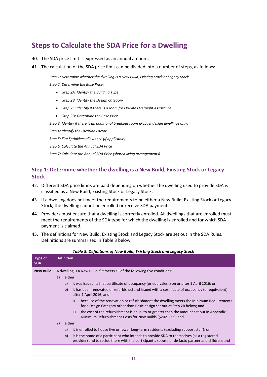## <span id="page-10-0"></span>**Steps to Calculate the SDA Price for a Dwelling**

- 40. The SDA price limit is expressed as an annual amount.
- 41. The calculation of the SDA price limit can be divided into a number of steps, as follows:

*Step [1: Determine whether the dwelling is a New Build, Existing](#page-10-1) Stock or Legacy Stock Step 2: Determine the Base Price:*

- *[Step 2A: Identify the Building](#page-11-0) Type*
- *[Step 2B: Identify the Design Category](#page-13-0)*
- *[Step 2C: Identify if there is a room for On-Site Overnight Assistance](#page-16-0)*
- *[Step 2D: Determine the Base Price](#page-16-1)*

*[Step 3: Identify if there is an additional breakout room](#page-16-2) (Robust design dwellings only)*

*[Step 4: Identify the Location Factor](#page-17-0)*

*Step 5: Fire Sprinklers [allowance \(if applicable\)](#page-17-1)*

*[Step 6: Calculate the Annual SDA Price](#page-17-3)*

*[Step 7: Calculate the Annual SDA Price \(shared living arrangements\)](#page-17-4)*

## <span id="page-10-1"></span>**Step 1: Determine whether the dwelling is a New Build, Existing Stock or Legacy Stock**

- 42. Different SDA price limits are paid depending on whether the dwelling used to provide SDA is classified as a New Build, Existing Stock or Legacy Stock.
- 43. If a dwelling does not meet the requirements to be either a New Build, Existing Stock or Legacy Stock, the dwelling cannot be enrolled or receive SDA payments.
- 44. Providers must ensure that a dwelling is correctly enrolled. All dwellings that are enrolled must meet the requirements of the SDA type for which the dwelling is enrolled and for which SDA payment is claimed.
- 45. The definitions for New Build, Existing Stock and Legacy Stock are set out in the SDA Rules. Definitions are summarised in [Table 3](#page-10-2) below.

<span id="page-10-2"></span>

| A dwelling is a New Build if it meets all of the following five conditions:<br><b>New Build</b><br>1)<br>either:                                                                                     |  |
|------------------------------------------------------------------------------------------------------------------------------------------------------------------------------------------------------|--|
|                                                                                                                                                                                                      |  |
|                                                                                                                                                                                                      |  |
| it was issued its first certificate of occupancy (or equivalent) on or after 1 April 2016; or<br>a)                                                                                                  |  |
| b)<br>it has been renovated or refurbished and issued with a certificate of occupancy (or equivalent)<br>after 1 April 2016, and:                                                                    |  |
| because of the renovation or refurbishment the dwelling meets the Minimum Requirements<br>i)<br>for a Design Category other than Basic design set out at Step 2B below; and                          |  |
| the cost of the refurbishment is equal to or greater than the amount set out in Appendix $F -$<br>ii)<br>Minimum Refurbishment Costs for New Builds (\$2021-22); and                                 |  |
| 2)<br>either:                                                                                                                                                                                        |  |
| it is enrolled to house five or fewer long-term residents (excluding support staff); or<br>a)                                                                                                        |  |
| b)<br>it is the home of a participant who intends to provide SDA to themselves (as a registered<br>provider) and to reside there with the participant's spouse or de facto partner and children; and |  |

#### *Table 3: Definitions of New Build, Existing Stock and Legacy Stock*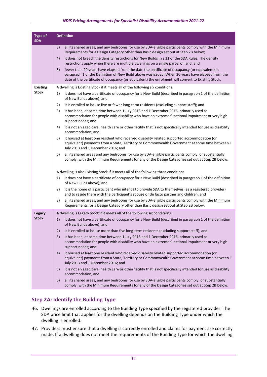#### *NDIS Pricing Arrangements for Specialist Disability Accommodation 2021-22*

| <b>Type of</b><br><b>SDA</b> | <b>Definition</b> |                                                                                                                                                                                                                                                                                                          |  |  |
|------------------------------|-------------------|----------------------------------------------------------------------------------------------------------------------------------------------------------------------------------------------------------------------------------------------------------------------------------------------------------|--|--|
|                              | 3)                | all its shared areas, and any bedrooms for use by SDA-eligible participants comply with the Minimum<br>Requirements for a Design Category other than Basic design set out at Step 2B below;                                                                                                              |  |  |
|                              | 4)                | it does not breach the density restrictions for New Builds in s 31 of the SDA Rules. The density<br>restrictions apply when there are multiple dwellings on a single parcel of land; and                                                                                                                 |  |  |
|                              | 5)                | fewer than 20 years have elapsed from the date the certificate of occupancy (or equivalent) in<br>paragraph 1 of the Definition of New Build above was issued. When 20 years have elapsed from the<br>date of the certificate of occupancy (or equivalent) the enrolment will convert to Existing Stock. |  |  |
| <b>Existing</b>              |                   | A dwelling is Existing Stock if it meets all of the following six conditions:                                                                                                                                                                                                                            |  |  |
| <b>Stock</b>                 | 1)                | it does not have a certificate of occupancy for a New Build (described in paragraph 1 of the definition<br>of New Builds above); and                                                                                                                                                                     |  |  |
|                              | 2)                | it is enrolled to house five or fewer long-term residents (excluding support staff); and                                                                                                                                                                                                                 |  |  |
|                              | 3)                | it has been, at some time between 1 July 2013 and 1 December 2016, primarily used as<br>accommodation for people with disability who have an extreme functional impairment or very high<br>support needs; and                                                                                            |  |  |
|                              | 4)                | it is not an aged care, health care or other facility that is not specifically intended for use as disability<br>accommodation; and                                                                                                                                                                      |  |  |
|                              | 5)                | it housed at least one resident who received disability related supported accommodation (or<br>equivalent) payments from a State, Territory or Commonwealth Government at some time between 1<br>July 2013 and 1 December 2016; and                                                                      |  |  |
|                              | 6)                | all its shared areas and any bedrooms for use by SDA-eligible participants comply, or substantially<br>comply, with the Minimum Requirements for any of the Design Categories set out at Step 2B below.                                                                                                  |  |  |
|                              |                   | A dwelling is also Existing Stock if it meets all of the following three conditions:                                                                                                                                                                                                                     |  |  |
|                              | 1)                | it does not have a certificate of occupancy for a New Build (described in paragraph 1 of the definition<br>of New Builds above); and                                                                                                                                                                     |  |  |
|                              | 2)                | it is the home of a participant who intends to provide SDA to themselves (as a registered provider)<br>and to reside there with the participant's spouse or de facto partner and children; and                                                                                                           |  |  |
|                              | 3)                | all its shared areas, and any bedrooms for use by SDA-eligible participants comply with the Minimum<br>Requirements for a Design Category other than Basic design set out at Step 2B below.                                                                                                              |  |  |
| Legacy                       |                   | A dwelling is Legacy Stock if it meets all of the following six conditions:                                                                                                                                                                                                                              |  |  |
| <b>Stock</b>                 | 1)                | it does not have a certificate of occupancy for a New Build (described in paragraph 1 of the definition<br>of New Builds above); and                                                                                                                                                                     |  |  |
|                              | 2)                | it is enrolled to house more than five long-term residents (excluding support staff); and                                                                                                                                                                                                                |  |  |
|                              | 3)                | it has been, at some time between 1 July 2013 and 1 December 2016, primarily used as<br>accommodation for people with disability who have an extreme functional impairment or very high<br>support needs; and                                                                                            |  |  |
|                              | 4)                | it housed at least one resident who received disability related supported accommodation (or<br>equivalent) payments from a State, Territory or Commonwealth Government at some time between 1<br>July 2013 and 1 December 2016; and                                                                      |  |  |
|                              | 5)                | it is not an aged care, health care or other facility that is not specifically intended for use as disability<br>accommodation; and                                                                                                                                                                      |  |  |
|                              | 6)                | all its shared areas, and any bedrooms for use by SDA-eligible participants comply, or substantially<br>comply, with the Minimum Requirements for any of the Design Categories set out at Step 2B below.                                                                                                 |  |  |

## <span id="page-11-0"></span>**Step 2A: Identify the Building Type**

- 46. Dwellings are enrolled according to the Building Type specified by the registered provider. The SDA price limit that applies for the dwelling depends on the Building Type under which the dwelling is enrolled.
- 47. Providers must ensure that a dwelling is correctly enrolled and claims for payment are correctly made. If a dwelling does not meet the requirements of the Building Type for which the dwelling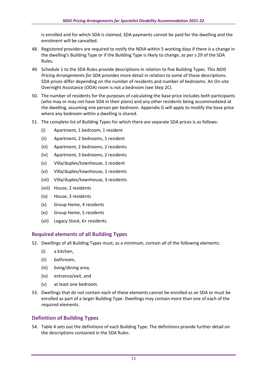is enrolled and for which SDA is claimed, SDA payments cannot be paid for the dwelling and the enrolment will be cancelled.

- 48. Registered providers are required to notify the NDIA within 5 working days if there is a change in the dwelling's Building Type or if the Building Type is likely to change, as per s 29 of the SDA Rules.
- 49. Schedule 1 to the SDA Rules provide descriptions in relation to five Building Types. This *NDIS Pricing Arrangements for SDA* provides more detail in relation to some of those descriptions. SDA prices differ depending on the number of residents and number of bedrooms. An On-site Overnight Assistance (OOA) room is not a bedroom (see Step 2C).
- 50. The number of residents for the purposes of calculating the base price includes both participants (who may or may not have SDA in their plans) and any other residents being accommodated at the dwelling, assuming one person per bedroom. [Appendix G w](#page-29-0)ill apply to modify the base price where any bedroom within a dwelling is shared.
- 51. The complete list of Building Types for which there are separate SDA prices is as follows:
	- (i) Apartment, 1 bedroom, 1 resident
	- (ii) Apartment, 2 bedrooms, 1 resident
	- (iii) Apartment, 2 bedrooms, 2 residents
	- (iv) Apartment, 3 bedrooms, 2 residents
	- (v) Villa/duplex/townhouse, 1 resident
	- (vi) Villa/duplex/townhouse, 2 residents
	- (vii) Villa/duplex/townhouse, 3 residents
	- (viii) House, 2 residents
	- (ix) House, 3 residents
	- (x) Group Home, 4 residents
	- (xi) Group Home, 5 residents
	- (xii) Legacy Stock, 6+ residents.

### <span id="page-12-0"></span>**Required elements of all Building Types**

52. Dwellings of all Building Types must, as a minimum, contain all of the following elements:

- (i) a kitchen,
- (ii) bathroom,
- (iii) living/dining area,
- (iv) entrance/exit, and
- (v) at least one bedroom.
- 53. Dwellings that do not contain each of these elements cannot be enrolled as an SDA or must be enrolled as part of a larger Building Type. Dwellings may contain more than one of each of the required elements.

## <span id="page-12-1"></span>**Definition of Building Types**

54. [Table 4](#page-13-1) sets out the definitions of each Building Type. The definitions provide further detail on the descriptions contained in the SDA Rules.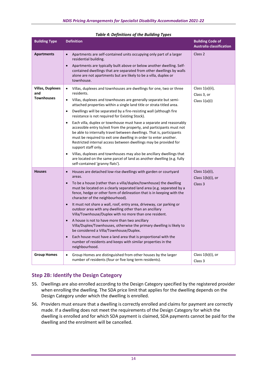<span id="page-13-1"></span>

| <b>Building Type</b>                                | <b>Definition</b>                                                                                                                                                                                                                                                                                                                                                                                                                                                                                                                                                                                                                                                                                                                                                                                                                                                                                                                                                                         | <b>Building Code of</b><br><b>Australia classification</b>   |
|-----------------------------------------------------|-------------------------------------------------------------------------------------------------------------------------------------------------------------------------------------------------------------------------------------------------------------------------------------------------------------------------------------------------------------------------------------------------------------------------------------------------------------------------------------------------------------------------------------------------------------------------------------------------------------------------------------------------------------------------------------------------------------------------------------------------------------------------------------------------------------------------------------------------------------------------------------------------------------------------------------------------------------------------------------------|--------------------------------------------------------------|
| <b>Apartments</b>                                   | Apartments are self-contained units occupying only part of a larger<br>$\bullet$<br>residential building.<br>Apartments are typically built above or below another dwelling. Self-<br>$\bullet$<br>contained dwellings that are separated from other dwellings by walls<br>alone are not apartments but are likely to be a villa, duplex or<br>townhouse.                                                                                                                                                                                                                                                                                                                                                                                                                                                                                                                                                                                                                                 | Class 2                                                      |
| <b>Villas, Duplexes</b><br>and<br><b>Townhouses</b> | Villas, duplexes and townhouses are dwellings for one, two or three<br>$\bullet$<br>residents.<br>Villas, duplexes and townhouses are generally separate but semi-<br>$\bullet$<br>attached properties within a single land title or strata titled area.<br>Dwellings will be separated by a fire-resisting wall (although fire<br>$\bullet$<br>resistance is not required for Existing Stock).<br>Each villa, duplex or townhouse must have a separate and reasonably<br>accessible entry to/exit from the property, and participants must not<br>be able to internally travel between dwellings. That is, participants<br>must be required to exit one dwelling in order to enter another.<br>Restricted internal access between dwellings may be provided for<br>support staff only.<br>Villas, duplexes and townhouses may also be ancillary dwellings that<br>$\bullet$<br>are located on the same parcel of land as another dwelling (e.g. fully<br>self-contained 'granny flats'). | Class 1(a)(ii),<br>Class 3, or<br>Class $1(a)(i)$            |
| <b>Houses</b>                                       | Houses are detached low-rise dwellings with garden or courtyard<br>$\bullet$<br>areas.<br>To be a house (rather than a villa/duplex/townhouse) the dwelling<br>must be located on a clearly separated land area (e.g. separated by a<br>fence, hedge or other form of delineation that is in keeping with the<br>character of the neighbourhood).<br>It must not share a wall, roof, entry area, driveway, car parking or<br>outdoor area with any dwelling other than an ancillary<br>Villa/Townhouse/Duplex with no more than one resident.<br>A house is not to have more than two ancillary<br>Villa/Duplex/Townhouses, otherwise the primary dwelling is likely to<br>be considered a Villa/Townhouse/Duplex.<br>Each house must have a land area that is proportional with the<br>$\bullet$<br>number of residents and keeps with similar properties in the<br>neighbourhood.                                                                                                       | Class $1(a)(i)$ ,<br>Class 1(b)(i), or<br>Class <sub>3</sub> |
| <b>Group Homes</b>                                  | Group Homes are distinguished from other houses by the larger<br>$\bullet$<br>number of residents (four or five long term residents).                                                                                                                                                                                                                                                                                                                                                                                                                                                                                                                                                                                                                                                                                                                                                                                                                                                     | Class $1(b)(i)$ , or<br>Class 3                              |

## <span id="page-13-0"></span>**Step 2B: Identify the Design Category**

- 55. Dwellings are also enrolled according to the Design Category specified by the registered provider when enrolling the dwelling. The SDA price limit that applies for the dwelling depends on the Design Category under which the dwelling is enrolled.
- 56. Providers must ensure that a dwelling is correctly enrolled and claims for payment are correctly made. If a dwelling does not meet the requirements of the Design Category for which the dwelling is enrolled and for which SDA payment is claimed, SDA payments cannot be paid for the dwelling and the enrolment will be cancelled.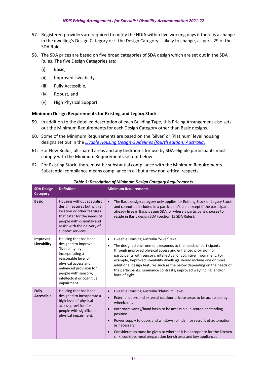- 57. Registered providers are required to notify the NDIA within five working days if there is a change in the dwelling's Design Category or if the Design Category is likely to change, as per s 29 of the SDA Rules.
- 58. The SDA prices are based on five broad categories of SDA design which are set out in the SDA Rules. The five Design Categories are:
	- (i) Basic,
	- (ii) Improved Liveability,
	- (iii) Fully Accessible,
	- (iv) Robust, and
	- (v) High Physical Support.

### <span id="page-14-0"></span>**Minimum Design Requirements for Existing and Legacy Stock**

- 59. In addition to the detailed description of each Building Type, this Pricing Arrangement also sets out the Minimum Requirements for each Design Category other than Basic designs.
- 60. Some of the Minimum Requirements are based on the 'Silver' or 'Platinum' level housing designs set out in the *[Livable Housing Design Guidelines \(fourth edition\) Australia](https://livablehousingaustralia.org.au/design-guidelines/)*.
- 61. For New Builds, all shared areas and any bedrooms for use by SDA-eligible participants must comply with the Minimum Requirements set out below.
- 62. For Existing Stock, there must be substantial compliance with the Minimum Requirements. Substantial compliance means compliance in all but a few non-critical respects.

| <b>SDA Design</b><br><b>Category</b> | <b>Definition</b>                                                                                                                                                                                                               | <b>Minimum Requirements</b>                                                                                                                                                                                                                                                                                                                                                                                                                                                                                                     |
|--------------------------------------|---------------------------------------------------------------------------------------------------------------------------------------------------------------------------------------------------------------------------------|---------------------------------------------------------------------------------------------------------------------------------------------------------------------------------------------------------------------------------------------------------------------------------------------------------------------------------------------------------------------------------------------------------------------------------------------------------------------------------------------------------------------------------|
| <b>Basic</b>                         | Housing without specialist<br>design features but with a<br>location or other features<br>that cater for the needs of<br>people with disability and<br>assist with the delivery of<br>support services.                         | The Basic design category only applies for Existing Stock or Legacy Stock<br>$\bullet$<br>and cannot be included in a participant's plan except if the participant<br>already lives in Basic design SDA, or where a participant chooses to<br>reside in Basic design SDA (section 15 SDA Rules).                                                                                                                                                                                                                                |
| Improved<br>Liveability              | Housing that has been<br>designed to improve<br>'liveability' by<br>incorporating a<br>reasonable level of<br>physical access and<br>enhanced provision for<br>people with sensory,<br>intellectual or cognitive<br>impairment. | Liveable Housing Australia 'Silver' level.<br>$\bullet$<br>The designed environment responds to the needs of participants<br>$\bullet$<br>through improved physical access and enhanced provision for<br>participants with sensory, intellectual or cognitive impairment. For<br>example, Improved Liveability dwellings should include one or more<br>additional design features such as the below depending on the needs of<br>the participants: luminance contrasts; improved wayfinding; and/or<br>lines of sight.          |
| <b>Fully</b><br><b>Accessible</b>    | Housing that has been<br>designed to incorporate a<br>high level of physical<br>access provision for<br>people with significant<br>physical impairment.                                                                         | Liveable Housing Australia 'Platinum' level.<br>$\bullet$<br>External doors and external outdoor private areas to be accessible by<br>$\bullet$<br>wheelchair.<br>Bathroom vanity/hand basin to be accessible in seated or standing<br>$\bullet$<br>position.<br>Power supply to doors and windows (blinds), for retrofit of automation<br>$\bullet$<br>as necessary.<br>Consideration must be given to whether it is appropriate for the kitchen<br>$\bullet$<br>sink, cooktop, meal preparation bench area and key appliances |

#### *Table 5: Description of Minimum Design Category Requirements*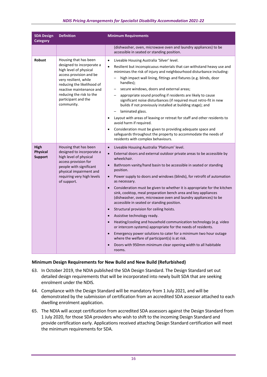#### *NDIS Pricing Arrangements for Specialist Disability Accommodation 2021-22*

| <b>SDA Design</b><br><b>Category</b>      | <b>Definition</b>                                                                                                                                                                                                                                           | <b>Minimum Requirements</b>                                                                                                                                                                                                                                                                                                                                                                                                                                                                                                                                                                                                                                                                                                                                                                                                                                                                                                                                                                                                                                                                                |
|-------------------------------------------|-------------------------------------------------------------------------------------------------------------------------------------------------------------------------------------------------------------------------------------------------------------|------------------------------------------------------------------------------------------------------------------------------------------------------------------------------------------------------------------------------------------------------------------------------------------------------------------------------------------------------------------------------------------------------------------------------------------------------------------------------------------------------------------------------------------------------------------------------------------------------------------------------------------------------------------------------------------------------------------------------------------------------------------------------------------------------------------------------------------------------------------------------------------------------------------------------------------------------------------------------------------------------------------------------------------------------------------------------------------------------------|
|                                           |                                                                                                                                                                                                                                                             | (dishwasher, oven, microwave oven and laundry appliances) to be<br>accessible in seated or standing position.                                                                                                                                                                                                                                                                                                                                                                                                                                                                                                                                                                                                                                                                                                                                                                                                                                                                                                                                                                                              |
| Robust                                    | Housing that has been<br>designed to incorporate a<br>high level of physical<br>access provision and be<br>very resilient, while<br>reducing the likelihood of<br>reactive maintenance and<br>reducing the risk to the<br>participant and the<br>community. | Liveable Housing Australia 'Silver' level.<br>$\bullet$<br>Resilient but inconspicuous materials that can withstand heavy use and<br>$\bullet$<br>minimises the risk of injury and neighbourhood disturbance including:<br>high impact wall lining, fittings and fixtures (e.g. blinds, door<br>$-$<br>handles);<br>secure windows, doors and external areas;<br>appropriate sound proofing if residents are likely to cause<br>significant noise disturbances (if required must retro-fit in new<br>builds if not previously installed at building stage); and<br>laminated glass.<br>$\qquad \qquad -$<br>Layout with areas of leaving or retreat for staff and other residents to<br>$\bullet$<br>avoid harm if required.<br>Consideration must be given to providing adequate space and<br>$\bullet$<br>safeguards throughout the property to accommodate the needs of<br>residents with complex behaviours.                                                                                                                                                                                           |
| High<br><b>Physical</b><br><b>Support</b> | Housing that has been<br>designed to incorporate a<br>high level of physical<br>access provision for<br>people with significant<br>physical impairment and<br>requiring very high levels<br>of support.                                                     | Liveable Housing Australia 'Platinum' level.<br>$\bullet$<br>External doors and external outdoor private areas to be accessible by<br>$\bullet$<br>wheelchair.<br>Bathroom vanity/hand basin to be accessible in seated or standing<br>$\bullet$<br>position.<br>Power supply to doors and windows (blinds), for retrofit of automation<br>$\bullet$<br>as necessary.<br>Consideration must be given to whether it is appropriate for the kitchen<br>$\bullet$<br>sink, cooktop, meal preparation bench area and key appliances<br>(dishwasher, oven, microwave oven and laundry appliances) to be<br>accessible in seated or standing position.<br>Structural provision for ceiling hoists.<br>$\bullet$<br>Assistive technology ready.<br>$\bullet$<br>Heating/cooling and household communication technology (e.g. video<br>$\bullet$<br>or intercom systems) appropriate for the needs of residents.<br>Emergency power solutions to cater for a minimum two hour outage<br>where the welfare of participant(s) is at risk.<br>Doors with 950mm minimum clear opening width to all habitable<br>rooms. |

#### <span id="page-15-0"></span>**Minimum Design Requirements for New Build and New Build (Refurbished)**

- 63. In October 2019, the NDIA published the SDA Design Standard. The Design Standard set out detailed design requirements that will be incorporated into newly built SDA that are seeking enrolment under the NDIS.
- 64. Compliance with the Design Standard will be mandatory from 1 July 2021, and will be demonstrated by the submission of certification from an accredited SDA assessor attached to each dwelling enrolment application.
- 65. The NDIA will accept certification from accredited SDA assessors against the Design Standard from 1 July 2020, for those SDA providers who wish to shift to the incoming Design Standard and provide certification early. Applications received attaching Design Standard certification will meet the minimum requirements for SDA.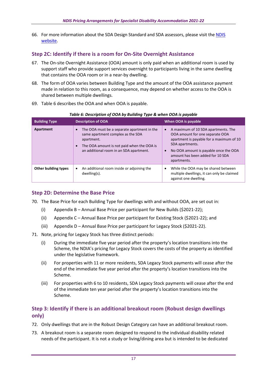66. For more information about the SDA Design Standard and SDA assessors, please visit th[e NDIS](https://www.ndis.gov.au/providers/housing-and-living-supports-and-services/housing/specialist-disability-accommodation/sda-design-standard)  [website.](https://www.ndis.gov.au/providers/housing-and-living-supports-and-services/housing/specialist-disability-accommodation/sda-design-standard)

## <span id="page-16-0"></span>**Step 2C: Identify if there is a room for On-Site Overnight Assistance**

- 67. The On-site Overnight Assistance (OOA) amount is only paid when an additional room is used by support staff who provide support services overnight to participants living in the same dwelling that contains the OOA room or in a near-by dwelling.
- 68. The form of OOA varies between Building Type and the amount of the OOA assistance payment made in relation to this room, as a consequence, may depend on whether access to the OOA is shared between multiple dwellings.
- 69. [Table 6](#page-16-3) describes the OOA and when OOA is payable.

<span id="page-16-3"></span>

| $\sim$ 2000, parametry and $\sim$ 2000 parametry in the contract of $\sim$ 2000, parameters |                                                                                                                                                                                         |                                                                                                                                                                                                                                   |  |  |  |  |  |  |  |
|---------------------------------------------------------------------------------------------|-----------------------------------------------------------------------------------------------------------------------------------------------------------------------------------------|-----------------------------------------------------------------------------------------------------------------------------------------------------------------------------------------------------------------------------------|--|--|--|--|--|--|--|
| <b>Building Type</b>                                                                        | <b>Description of OOA</b>                                                                                                                                                               | When OOA is payable                                                                                                                                                                                                               |  |  |  |  |  |  |  |
| Apartment                                                                                   | The OOA must be a separate apartment in the<br>same apartment complex as the SDA<br>apartment.<br>The OOA amount is not paid when the OOA is<br>an additional room in an SDA apartment. | A maximum of 10 SDA apartments. The<br>OOA amount for one separate OOA<br>apartment is payable for a maximum of 10<br>SDA apartments.<br>No OOA amount is payable once the OOA<br>amount has been added for 10 SDA<br>apartments. |  |  |  |  |  |  |  |
| Other building types                                                                        | An additional room inside or adjoining the<br>dwelling(s).                                                                                                                              | While the OOA may be shared between<br>multiple dwellings, it can only be claimed<br>against one dwelling.                                                                                                                        |  |  |  |  |  |  |  |

#### *Table 6: Description of OOA by Building Type & when OOA is payable*

## <span id="page-16-1"></span>**Step 2D: Determine the Base Price**

- 70. The Base Price for each Building Type for dwellings with and without OOA, are set out in:
	- (i) Appendix  $B A$ nnual Base Price per participant for New Builds (\$2021-22);
	- (ii) Appendix C [Annual Base Price per participant for Existing Stock \(\\$2021-22\);](#page-21-0) and
	- (iii) Appendix D [Annual Base Price per participant for Legacy Stock \(\\$2021-22\).](#page-22-0)
- 71. Note, pricing for Legacy Stock has three distinct periods:
	- (i) During the immediate five year period after the property's location transitions into the Scheme, the NDIA's pricing for Legacy Stock covers the costs of the property as identified under the legislative framework.
	- (ii) For properties with 11 or more residents, SDA Legacy Stock payments will cease after the end of the immediate five year period after the property's location transitions into the Scheme.
	- (iii) For properties with 6 to 10 residents, SDA Legacy Stock payments will cease after the end of the immediate ten year period after the property's location transitions into the Scheme.

## <span id="page-16-2"></span>**Step 3: Identify if there is an additional breakout room (Robust design dwellings only)**

- 72. Only dwellings that are in the Robust Design Category can have an additional breakout room.
- 73. A breakout room is a separate room designed to respond to the individual disability related needs of the participant. It is not a study or living/dining area but is intended to be dedicated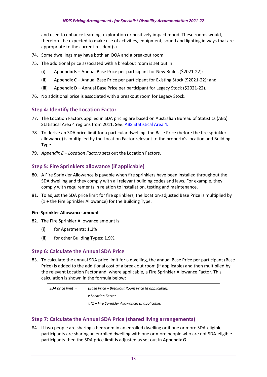and used to enhance learning, exploration or positively impact mood. These rooms would, therefore, be expected to make use of activities, equipment, sound and lighting in ways that are appropriate to the current resident(s).

- 74. Some dwellings may have both an OOA and a breakout room.
- 75. The additional price associated with a breakout room is set out in:
	- (i) Appendix B [Annual Base Price per participant for New Builds \(\\$2021-22\);](#page-20-0)
	- (ii) Appendix C [Annual Base Price per participant for Existing Stock \(\\$2021-22\);](#page-21-0) and
	- (iii) Appendix D [Annual Base Price per participant for Legacy Stock \(\\$2021-22\).](#page-22-0)
- 76. No additional price is associated with a breakout room for Legacy Stock.

## <span id="page-17-0"></span>**Step 4: Identify the Location Factor**

- 77. The Location Factors applied in SDA pricing are based on Australian Bureau of Statistics (ABS) Statistical Area 4 regions from 2011. See: [ABS Statistical Area 4.](https://www.abs.gov.au/ausstats/abs@.nsf/Previousproducts/B01A5912123E8D2BCA257801000C64F2?opendocument)
- 78. To derive an SDA price limit for a particular dwelling, the Base Price (before the fire sprinkler allowance) is multiplied by the Location Factor relevant to the property's location and Building Type.
- 79. *Appendix E – [Location Factors](#page-25-0)* sets out the Location Factors.

## <span id="page-17-1"></span>**Step 5: Fire Sprinklers allowance (if applicable)**

- 80. A Fire Sprinkler Allowance is payable when fire sprinklers have been installed throughout the SDA dwelling and they comply with all relevant building codes and laws. For example, they comply with requirements in relation to installation, testing and maintenance.
- 81. To adjust the SDA price limit for fire sprinklers, the location-adjusted Base Price is multiplied by (1 + the Fire Sprinkler Allowance) for the Building Type.

### <span id="page-17-2"></span>**Fire Sprinkler Allowance amount**

- 82. The Fire Sprinkler Allowance amount is:
	- (i) for Apartments: 1.2%
	- (ii) for other Building Types: 1.9%.

## <span id="page-17-3"></span>**Step 6: Calculate the Annual SDA Price**

83. To calculate the annual SDA price limit for a dwelling, the annual Base Price per participant (Base Price) is added to the additional cost of a break out room (if applicable) and then multiplied by the relevant Location Factor and, where applicable, a Fire Sprinkler Allowance Factor. This calculation is shown in the formula below:

| SDA price limit = | (Base Price + Breakout Room Price (if applicable)) |
|-------------------|----------------------------------------------------|
|                   | x Location Factor                                  |
|                   | $x(1 +$ Fire Sprinkler Allowance) (if applicable)  |

## <span id="page-17-4"></span>**Step 7: Calculate the Annual SDA Price (shared living arrangements)**

84. If two people are sharing a bedroom in an enrolled dwelling or if one or more SDA-eligible participants are sharing an enrolled dwelling with one or more people who are not SDA-eligible participants then the SDA price limit is adjusted as set out in [Appendix G .](#page-29-0)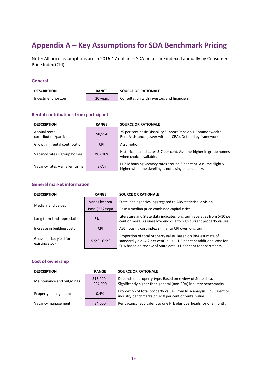## <span id="page-18-0"></span>**Appendix A – Key Assumptions for SDA Benchmark Pricing**

Note: All price assumptions are in 2016-17 dollars – SDA prices are indexed annually by Consumer Price Index (CPI).

#### **General**

| <b>DESCRIPTION</b> | <b>RANGE</b> | <b>SOURCE OR RATIONALE</b>                 |  |  |  |
|--------------------|--------------|--------------------------------------------|--|--|--|
| Investment horizon | 20 years     | Consultation with investors and financiers |  |  |  |

### **Rental contributions from participant**

| <b>DESCRIPTION</b>                        | <b>RANGE</b> | <b>SOURCE OR RATIONALE</b>                                                                                                |  |  |  |  |  |
|-------------------------------------------|--------------|---------------------------------------------------------------------------------------------------------------------------|--|--|--|--|--|
| Annual rental<br>contribution/participant | \$8,554      | 25 per cent basic Disability Support Pension + Commonwealth<br>Rent Assistance (lower without CRA). Defined by framework. |  |  |  |  |  |
| Growth in rental contribution             | <b>CPI</b>   | Assumption.                                                                                                               |  |  |  |  |  |
| Vacancy rates – group homes               | $3\% - 10\%$ | Historic data indicates 3-7 per cent. Assume higher in group homes<br>when choice available.                              |  |  |  |  |  |
| Vacancy rates - smaller forms             | $3 - 7%$     | Public housing vacancy rates around 3 per cent. Assume slightly<br>higher when the dwelling is not a single occupancy.    |  |  |  |  |  |

## **General market information**

| <b>DESCRIPTION</b>                       | <b>RANGE</b>    | <b>SOURCE OR RATIONALE</b>                                                                                                                                                                              |
|------------------------------------------|-----------------|---------------------------------------------------------------------------------------------------------------------------------------------------------------------------------------------------------|
| Median land values                       | Varies by area  | State land agencies, aggregated to ABS statistical division.                                                                                                                                            |
|                                          | Base \$552/sqm  | Base = median price combined capital cities.                                                                                                                                                            |
| Long term land appreciation              | 5% p.a.         | Literature and State data indicates long term averages from 5-10 per<br>cent or more. Assume low end due to high current property values.                                                               |
| Increase in building costs               | <b>CPI</b>      | ABS housing cost index similar to CPI over long term.                                                                                                                                                   |
| Gross market yield for<br>existing stock | $5.5\% - 6.5\%$ | Proportion of total property value. Based on RBA estimate of<br>standard yield (4.2 per cent) plus 1-1.5 per cent additional cost for<br>SDA based on review of State data. +1 per cent for apartments. |

#### **Cost of ownership**

| <b>DESCRIPTION</b>        | <b>RANGE</b>            | <b>SOURCE OR RATIONALE</b>                                                                                                    |  |  |  |  |  |
|---------------------------|-------------------------|-------------------------------------------------------------------------------------------------------------------------------|--|--|--|--|--|
| Maintenance and outgoings | $$15,000 -$<br>\$34,000 | Depends on property type. Based on review of State data.<br>Significantly higher than general (non-SDA) industry benchmarks.  |  |  |  |  |  |
| Property management       | 0.4%                    | Proportion of total property value. From RBA analysis. Equivalent to<br>industry benchmarks of 8-10 per cent of rental value. |  |  |  |  |  |
| Vacancy management        | \$4,000                 | Per vacancy. Equivalent to one FTE plus overheads for one month.                                                              |  |  |  |  |  |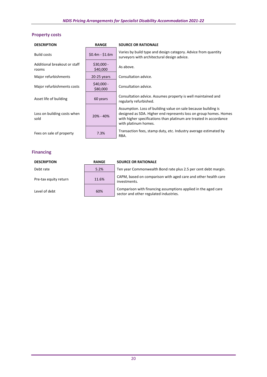## **Property costs**

| <b>DESCRIPTION</b>                    | <b>RANGE</b>            | <b>SOURCE OR RATIONALE</b>                                                                                                                                                                                                        |
|---------------------------------------|-------------------------|-----------------------------------------------------------------------------------------------------------------------------------------------------------------------------------------------------------------------------------|
| <b>Build costs</b>                    | $$0.4m - $1.6m$         | Varies by build type and design category. Advice from quantity<br>surveyors with architectural design advice.                                                                                                                     |
| Additional breakout or staff<br>rooms | $$30,000 -$<br>\$40,000 | As above.                                                                                                                                                                                                                         |
| Major refurbishments                  | 20-25 years             | Consultation advice.                                                                                                                                                                                                              |
| Major refurbishments costs            | $$40,000 -$<br>\$80,000 | Consultation advice.                                                                                                                                                                                                              |
| Asset life of building                | 60 years                | Consultation advice. Assumes property is well maintained and<br>regularly refurbished.                                                                                                                                            |
| Loss on building costs when<br>sold   | $20\% - 40\%$           | Assumption. Loss of building value on sale because building is<br>designed as SDA. Higher end represents loss on group homes. Homes<br>with higher specifications than platinum are treated in accordance<br>with platinum homes. |
| Fees on sale of property              | 7.3%                    | Transaction fees, stamp duty, etc. Industry average estimated by<br>RBA.                                                                                                                                                          |

## **Financing**

| <b>DESCRIPTION</b>    | <b>RANGE</b> | <b>SOURCE OR RATIONALE</b>                                                                               |
|-----------------------|--------------|----------------------------------------------------------------------------------------------------------|
| Debt rate             | 5.2%         | Ten year Commonwealth Bond rate plus 2.5 per cent debt margin.                                           |
| Pre-tax equity return | 11.6%        | CAPM, based on comparison with aged care and other health care<br>investments.                           |
| Level of debt         | 60%          | Comparison with financing assumptions applied in the aged care<br>sector and other regulated industries. |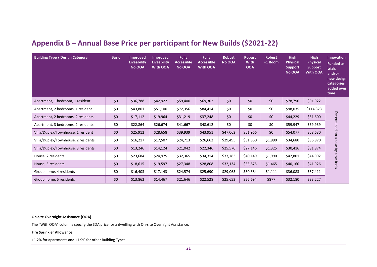## **Appendix B – Annual Base Price per participant for New Builds (\$2021-22)**

| <b>Building Type / Design Category</b> | <b>Basic</b> | <b>Improved</b><br><b>Liveability</b><br>No OOA | <b>Improved</b><br>Liveability<br><b>With OOA</b> | <b>Fully</b><br><b>Accessible</b><br>No OOA | <b>Fully</b><br><b>Accessible</b><br><b>With OOA</b> | <b>Robust</b><br>No OOA | <b>Robust</b><br><b>With</b><br><b>OOA</b> | <b>Robust</b><br>+1 Room | <b>High</b><br><b>Physical</b><br><b>Support</b><br>No OOA | <b>High</b><br><b>Physical</b><br><b>Support</b><br><b>With OOA</b> | <b>Innovation</b><br><b>Funded as</b><br>trials<br>and/or<br>new design<br>categories<br>added over<br>time |
|----------------------------------------|--------------|-------------------------------------------------|---------------------------------------------------|---------------------------------------------|------------------------------------------------------|-------------------------|--------------------------------------------|--------------------------|------------------------------------------------------------|---------------------------------------------------------------------|-------------------------------------------------------------------------------------------------------------|
| Apartment, 1 bedroom, 1 resident       | \$0          | \$36,788                                        | \$42,922                                          | \$59,400                                    | \$69,302                                             | \$0                     | \$0                                        | \$0                      | \$78,790                                                   | \$91,922                                                            |                                                                                                             |
| Apartment, 2 bedrooms, 1 resident      | \$0          | \$43,801                                        | \$51,100                                          | \$72,356                                    | \$84,414                                             | \$0                     | \$0                                        | \$0                      | \$98,035                                                   | \$114,373                                                           |                                                                                                             |
| Apartment, 2 bedrooms, 2 residents     | \$0          | \$17,112                                        | \$19,964                                          | \$31,219                                    | \$37,248                                             | \$0                     | \$0                                        | \$0                      | \$44,229                                                   | \$51,600                                                            | Determined on                                                                                               |
| Apartment, 3 bedrooms, 2 residents     | \$0          | \$22,864                                        | \$26,674                                          | \$41,667                                    | \$48,612                                             | \$0                     | \$0                                        | \$0                      | \$59,947                                                   | \$69,939                                                            |                                                                                                             |
| Villa/Duplex/Townhouse, 1 resident     | \$0          | \$25,912                                        | \$28,658                                          | \$39,939                                    | \$43,951                                             | \$47,062                | \$51,966                                   | \$0                      | \$54,077                                                   | \$58,630                                                            |                                                                                                             |
| Villa/Duplex/Townhouse, 2 residents    | \$0          | \$16,217                                        | \$17,507                                          | \$24,713                                    | \$26,662                                             | \$29,495                | \$31,860                                   | \$1,990                  | \$34,680                                                   | \$36,870                                                            |                                                                                                             |
| Villa/Duplex/Townhouse, 3 residents    | \$0          | \$13,246                                        | \$14,124                                          | \$21,042                                    | \$22,346                                             | \$25,570                | \$27,146                                   | \$1,325                  | \$30,416                                                   | \$31,874                                                            |                                                                                                             |
| House, 2 residents                     | \$0          | \$23,684                                        | \$24,975                                          | \$32,365                                    | \$34,314                                             | \$37,783                | \$40,149                                   | \$1,990                  | \$42,801                                                   | \$44,992                                                            |                                                                                                             |
| House, 3 residents                     | \$0          | \$18,615                                        | \$19,597                                          | \$27,348                                    | \$28,808                                             | \$32,134                | \$33,875                                   | \$1,465                  | \$40,160                                                   | \$41,926                                                            | a case by case basis                                                                                        |
| Group home, 4 residents                | \$0          | \$16,403                                        | \$17,143                                          | \$24,574                                    | \$25,690                                             | \$29,063                | \$30,384                                   | \$1,111                  | \$36,083                                                   | \$37,411                                                            |                                                                                                             |
| Group home, 5 residents                | \$0          | \$13,862                                        | \$14,467                                          | \$21,646                                    | \$22,528                                             | \$25,652                | \$26,694                                   | \$877                    | \$32,180                                                   | \$33,227                                                            |                                                                                                             |

<span id="page-20-0"></span>**On-site Overnight Assistance (OOA)**

The "With OOA" columns specify the SDA price for a dwelling with On-site Overnight Assistance.

#### **Fire Sprinkler Allowance**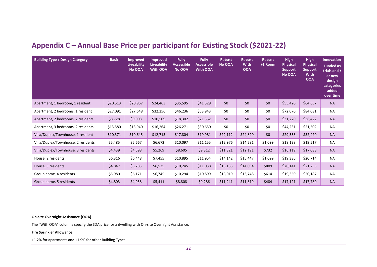## **Appendix C – Annual Base Price per participant for Existing Stock (\$2021-22)**

| <b>Building Type / Design Category</b> | <b>Basic</b> | <b>Improved</b><br>Liveability<br>No OOA | <b>Improved</b><br><b>Liveability</b><br><b>With OOA</b> | <b>Fully</b><br><b>Accessible</b><br>No OOA | <b>Fully</b><br><b>Accessible</b><br><b>With OOA</b> | <b>Robust</b><br>No OOA | <b>Robust</b><br><b>With</b><br><b>OOA</b> | <b>Robust</b><br>$+1$ Room | <b>High</b><br><b>Physical</b><br><b>Support</b><br>No OOA | <b>High</b><br><b>Physical</b><br><b>Support</b><br><b>With</b><br><b>OOA</b> | <b>Innovation</b><br><b>Funded as</b><br>trials and /<br>or new<br>design<br>categories<br>added<br>over time |
|----------------------------------------|--------------|------------------------------------------|----------------------------------------------------------|---------------------------------------------|------------------------------------------------------|-------------------------|--------------------------------------------|----------------------------|------------------------------------------------------------|-------------------------------------------------------------------------------|---------------------------------------------------------------------------------------------------------------|
| Apartment, 1 bedroom, 1 resident       | \$20,513     | \$20,967                                 | \$24,463                                                 | \$35,595                                    | \$41,529                                             | \$0                     | \$0                                        | \$0                        | \$55,420                                                   | \$64,657                                                                      | <b>NA</b>                                                                                                     |
| Apartment, 2 bedrooms, 1 resident      | \$27,091     | \$27,648                                 | \$32,256                                                 | \$46,236                                    | \$53,943                                             | \$0                     | \$0                                        | \$0                        | \$72,070                                                   | \$84,081                                                                      | <b>NA</b>                                                                                                     |
| Apartment, 2 bedrooms, 2 residents     | \$8,728      | \$9,008                                  | \$10,509                                                 | \$18,302                                    | \$21,352                                             | \$0                     | \$0                                        | \$0                        | \$31,220                                                   | \$36,422                                                                      | <b>NA</b>                                                                                                     |
| Apartment, 3 bedrooms, 2 residents     | \$13,580     | \$13,940                                 | \$16,264                                                 | \$26,271                                    | \$30,650                                             | \$0                     | \$0                                        | \$0                        | \$44,231                                                   | \$51,602                                                                      | NA                                                                                                            |
| Villa/Duplex/Townhouse, 1 resident     | \$10,371     | \$10,645                                 | \$12,713                                                 | \$17,804                                    | \$19,981                                             | \$22,112                | \$24,820                                   | \$0\$                      | \$29,553                                                   | \$32,420                                                                      | <b>NA</b>                                                                                                     |
| Villa/Duplex/Townhouse, 2 residents    | \$5,485      | \$5,667                                  | \$6,672                                                  | \$10,097                                    | \$11,155                                             | \$12,976                | \$14,281                                   | \$1,099                    | \$18,138                                                   | \$19,517                                                                      | <b>NA</b>                                                                                                     |
| Villa/Duplex/Townhouse, 3 residents    | \$4,439      | \$4,598                                  | \$5,269                                                  | \$8,605                                     | \$9,312                                              | \$11,321                | \$12,191                                   | \$732                      | \$16,119                                                   | \$17,038                                                                      | <b>NA</b>                                                                                                     |
| House, 2 residents                     | \$6,316      | \$6,448                                  | \$7,455                                                  | \$10,895                                    | \$11,954                                             | \$14,142                | \$15,447                                   | \$1,099                    | \$19,336                                                   | \$20,714                                                                      | <b>NA</b>                                                                                                     |
| House, 3 residents                     | \$4,847      | \$5,783                                  | \$6,535                                                  | \$10,245                                    | \$11,038                                             | \$13,133                | \$14,094                                   | \$809                      | \$20,141                                                   | \$21,253                                                                      | <b>NA</b>                                                                                                     |
| Group home, 4 residents                | \$5,980      | \$6,171                                  | \$6,745                                                  | \$10,294                                    | \$10,899                                             | \$13,019                | \$13,748                                   | \$614                      | \$19,350                                                   | \$20,187                                                                      | NA                                                                                                            |
| Group home, 5 residents                | \$4,803      | \$4,958                                  | \$5,411                                                  | \$8,808                                     | \$9,286                                              | \$11,241                | \$11,819                                   | \$484                      | \$17,121                                                   | \$17,780                                                                      | <b>NA</b>                                                                                                     |

<span id="page-21-0"></span>**On-site Overnight Assistance (OOA)**

The "With OOA" columns specify the SDA price for a dwelling with On-site Overnight Assistance.

#### **Fire Sprinkler Allowance**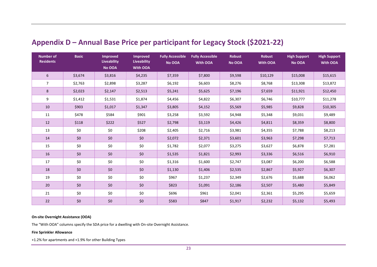| <b>Number of</b><br><b>Residents</b> | <b>Basic</b> | <b>Improved</b><br><b>Liveability</b><br>No OOA | <b>Improved</b><br><b>Liveability</b><br><b>With OOA</b> | <b>Fully Accessible</b><br>No OOA | <b>Fully Accessible</b><br>With OOA | <b>Robust</b><br>No OOA | <b>Robust</b><br><b>With OOA</b> | <b>High Support</b><br>No OOA | <b>High Support</b><br><b>With OOA</b> |
|--------------------------------------|--------------|-------------------------------------------------|----------------------------------------------------------|-----------------------------------|-------------------------------------|-------------------------|----------------------------------|-------------------------------|----------------------------------------|
| 6                                    | \$3,674      | \$3,816                                         | \$4,235                                                  | \$7,359                           | \$7,800                             | \$9,598                 | \$10,129                         | \$15,008                      | \$15,615                               |
| $\overline{7}$                       | \$2,763      | \$2,898                                         | \$3,287                                                  | \$6,192                           | \$6,603                             | \$8,276                 | \$8,768                          | \$13,308                      | \$13,872                               |
| 8                                    | \$2,023      | \$2,147                                         | \$2,513                                                  | \$5,241                           | \$5,625                             | \$7,196                 | \$7,659                          | \$11,921                      | \$12,450                               |
| 9                                    | \$1,412      | \$1,531                                         | \$1,874                                                  | \$4,456                           | \$4,822                             | \$6,307                 | \$6,746                          | \$10,777                      | \$11,278                               |
| 10                                   | \$903        | \$1,017                                         | \$1,347                                                  | \$3,805                           | \$4,152                             | \$5,569                 | \$5,985                          | \$9,828                       | \$10,305                               |
| 11                                   | \$478        | \$584                                           | \$901                                                    | \$3,258                           | \$3,592                             | \$4,948                 | \$5,348                          | \$9,031                       | \$9,489                                |
| 12                                   | \$118        | \$222                                           | \$527                                                    | \$2,798                           | \$3,119                             | \$4,426                 | \$4,811                          | \$8,359                       | \$8,800                                |
| 13                                   | \$0          | \$0                                             | \$208                                                    | \$2,405                           | \$2,716                             | \$3,981                 | \$4,355                          | \$7,788                       | \$8,213                                |
| 14                                   | \$0          | \$0                                             | \$0                                                      | \$2,072                           | \$2,371                             | \$3,601                 | \$3,963                          | \$7,298                       | \$7,713                                |
| 15                                   | \$0          | \$0                                             | \$0                                                      | \$1,782                           | \$2,077                             | \$3,275                 | \$3,627                          | \$6,878                       | \$7,281                                |
| 16                                   | \$0          | \$0                                             | \$0                                                      | \$1,535                           | \$1,821                             | \$2,993                 | \$3,336                          | \$6,516                       | \$6,910                                |
| 17                                   | \$0          | \$0                                             | \$0                                                      | \$1,316                           | \$1,600                             | \$2,747                 | \$3,087                          | \$6,200                       | \$6,588                                |
| 18                                   | \$0          | \$0                                             | \$0                                                      | \$1,130                           | \$1,406                             | \$2,535                 | \$2,867                          | \$5,927                       | \$6,307                                |
| 19                                   | \$0          | \$0                                             | \$0                                                      | \$967                             | \$1,237                             | \$2,349                 | \$2,676                          | \$5,688                       | \$6,062                                |
| 20                                   | \$0          | \$0                                             | \$0                                                      | \$823                             | \$1,091                             | \$2,186                 | \$2,507                          | \$5,480                       | \$5,849                                |
| 21                                   | \$0          | \$0                                             | \$0                                                      | \$696                             | \$961                               | \$2,041                 | \$2,361                          | \$5,295                       | \$5,659                                |
| 22                                   | \$0          | \$0                                             | $$0$$                                                    | \$583                             | \$847                               | \$1,917                 | \$2,232                          | \$5,132                       | \$5,493                                |

## **Appendix D – Annual Base Price per participant for Legacy Stock (\$2021-22)**

#### <span id="page-22-0"></span>**On-site Overnight Assistance (OOA)**

The "With OOA" columns specify the SDA price for a dwelling with On-site Overnight Assistance.

#### **Fire Sprinkler Allowance**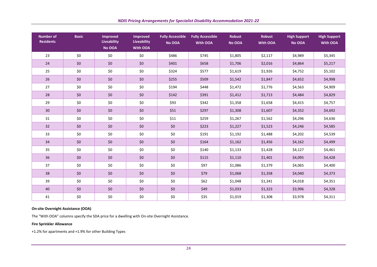| <b>Number of</b><br><b>Residents</b> | <b>Basic</b> | <b>Improved</b><br><b>Liveability</b><br>No OOA | <b>Improved</b><br>Liveability<br><b>With OOA</b> | <b>Fully Accessible</b><br>No OOA | <b>Robust</b><br><b>Fully Accessible</b><br><b>With OOA</b><br>No OOA |         | <b>Robust</b><br>With OOA | <b>High Support</b><br>No OOA | <b>High Support</b><br><b>With OOA</b> |
|--------------------------------------|--------------|-------------------------------------------------|---------------------------------------------------|-----------------------------------|-----------------------------------------------------------------------|---------|---------------------------|-------------------------------|----------------------------------------|
| 23                                   | \$0          | \$0                                             | \$0                                               | \$486                             | \$745                                                                 | \$1,805 | \$2,117                   | \$4,989                       | \$5,345                                |
| 24                                   | \$0          | \$0                                             | \$0                                               | \$401                             | \$658                                                                 | \$1,706 | \$2,016                   | \$4,864                       | \$5,217                                |
| 25                                   | \$0          | \$0                                             | \$0                                               | \$324                             | \$577                                                                 | \$1,619 | \$1,926                   | \$4,752                       | \$5,102                                |
| 26                                   | \$0          | \$0\$                                           | \$0                                               | \$255                             | \$509                                                                 | \$1,542 | \$1,847                   | \$4,652                       | \$4,998                                |
| 27                                   | \$0          | \$0                                             | \$0                                               | \$194                             | \$448                                                                 | \$1,472 | \$1,776                   | \$4,563                       | \$4,909                                |
| 28                                   | \$0          | \$0                                             | \$0                                               | \$142                             | \$391                                                                 | \$1,412 | \$1,713                   | \$4,484                       | \$4,829                                |
| 29                                   | \$0          | \$0                                             | \$0                                               | \$93                              | \$342                                                                 | \$1,358 | \$1,658                   | \$4,415                       | \$4,757                                |
| 30                                   | \$0          | \$0\$                                           | \$0                                               | \$51                              | \$297                                                                 | \$1,308 | \$1,607                   | \$4,352                       | \$4,692                                |
| 31                                   | \$0          | \$0                                             | \$0                                               | \$11                              | \$259                                                                 | \$1,267 | \$1,562                   | \$4,296                       | \$4,636                                |
| 32                                   | \$0          | \$0\$                                           | \$0                                               | \$0                               | \$223                                                                 | \$1,227 | \$1,523                   | \$4,246                       | \$4,585                                |
| 33                                   | \$0          | \$0                                             | \$0                                               | \$0                               | \$191                                                                 | \$1,192 | \$1,488                   | \$4,202                       | \$4,539                                |
| 34                                   | \$0          | \$0                                             | \$0                                               | \$0                               | \$164                                                                 | \$1,162 | \$1,456                   | \$4,162                       | \$4,499                                |
| 35                                   | \$0          | \$0                                             | \$0                                               | \$0                               | \$140                                                                 | \$1,133 | \$1,428                   | \$4,127                       | \$4,461                                |
| 36                                   | \$0          | \$0\$                                           | \$0                                               | \$0                               | \$115                                                                 | \$1,110 | \$1,401                   | \$4,095                       | \$4,428                                |
| 37                                   | \$0          | \$0                                             | \$0                                               | $$0$$                             | \$97                                                                  | \$1,086 | \$1,379                   | \$4,065                       | \$4,400                                |
| 38                                   | \$0          | \$0                                             | \$0                                               | $$0$$                             | \$79                                                                  | \$1,068 | \$1,358                   | \$4,040                       | \$4,373                                |
| 39                                   | \$0          | \$0                                             | \$0                                               | $$0$$                             | \$62                                                                  | \$1,048 | \$1,341                   | \$4,018                       | \$4,351                                |
| 40                                   | \$0          | \$0\$                                           | \$0\$                                             | \$0                               | \$49                                                                  | \$1,033 | \$1,323                   | \$3,996                       | \$4,328                                |
| 41                                   | \$0          | \$0                                             | \$0                                               | \$0                               | \$35                                                                  | \$1,019 | \$1,308                   | \$3,978                       | \$4,311                                |

#### **On-site Overnight Assistance (OOA)**

The "With OOA" columns specify the SDA price for a dwelling with On-site Overnight Assistance.

#### **Fire Sprinkler Allowance**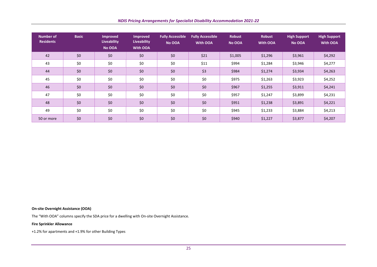| Number of<br><b>Residents</b> | <b>Basic</b> | <b>Improved</b><br><b>Liveability</b><br>No OOA | <b>Improved</b><br>Liveability<br><b>With OOA</b> | <b>Fully Accessible</b><br>No OOA | <b>Fully Accessible</b><br>With OOA | <b>Robust</b><br>No OOA | <b>Robust</b><br>With OOA | <b>High Support</b><br>No OOA | <b>High Support</b><br>With OOA |
|-------------------------------|--------------|-------------------------------------------------|---------------------------------------------------|-----------------------------------|-------------------------------------|-------------------------|---------------------------|-------------------------------|---------------------------------|
| 42                            | \$0\$        | \$0                                             | \$0                                               | \$0                               | \$21                                | \$1,005                 | \$1,296                   | \$3,961                       | \$4,292                         |
| 43                            | \$0          | \$0                                             | \$0                                               | \$0                               | \$11                                | \$994                   | \$1,284                   | \$3,946                       | \$4,277                         |
| 44                            | \$0          | \$0                                             | \$0                                               | $$0$$                             | \$3                                 | \$984                   | \$1,274                   | \$3,934                       | \$4,263                         |
| 45                            | \$0          | \$0                                             | \$0                                               | \$0                               | \$0                                 | \$975                   | \$1,263                   | \$3,923                       | \$4,252                         |
| 46                            | \$0          | \$0                                             | \$0                                               | \$0                               | \$0                                 | \$967                   | \$1,255                   | \$3,911                       | \$4,241                         |
| 47                            | \$0          | \$0                                             | \$0                                               | \$0                               | \$0                                 | \$957                   | \$1,247                   | \$3,899                       | \$4,231                         |
| 48                            | \$0          | \$0                                             | \$0                                               | \$0                               | \$0                                 | \$951                   | \$1,238                   | \$3,891                       | \$4,221                         |
| 49                            | \$0          | \$0                                             | \$0                                               | \$0                               | \$0                                 | \$945                   | \$1,233                   | \$3,884                       | \$4,213                         |
| 50 or more                    | \$0          | \$0                                             | \$0                                               | \$0                               | \$0                                 | \$940                   | \$1,227                   | \$3,877                       | \$4,207                         |

#### **On-site Overnight Assistance (OOA)**

The "With OOA" columns specify the SDA price for a dwelling with On-site Overnight Assistance.

#### **Fire Sprinkler Allowance**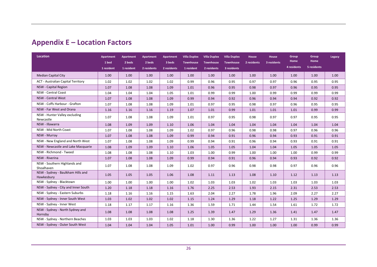<span id="page-25-0"></span>

| <b>Location</b>                                 | <b>Apartment</b><br>1 bed<br>1 resident | <b>Apartment</b><br>2 beds<br>1 resident | Apartment<br>2 beds<br>2 residents | <b>Apartment</b><br>3 beds<br>2 residents | <b>Villa Duplex</b><br><b>Townhouse</b><br>1 resident | <b>Villa Duplex</b><br><b>Townhouse</b><br>2 residents | <b>Villa Duplex</b><br><b>Townhouse</b><br>3 residents | House<br>2 residents | House<br>3 residents | Group<br>Home<br>4 residents | Group<br>Home<br>5 residents | Legacy |
|-------------------------------------------------|-----------------------------------------|------------------------------------------|------------------------------------|-------------------------------------------|-------------------------------------------------------|--------------------------------------------------------|--------------------------------------------------------|----------------------|----------------------|------------------------------|------------------------------|--------|
| <b>Median Capital City</b>                      | 1.00                                    | 1.00                                     | 1.00                               | 1.00                                      | 1.00                                                  | 1.00                                                   | 1.00                                                   | 1.00                 | 1.00                 | 1.00                         | 1.00                         | 1.00   |
| <b>ACT - Australian Capital Territory</b>       | 1.02                                    | 1.02                                     | 1.02                               | 1.02                                      | 0.99                                                  | 0.96                                                   | 0.95                                                   | 0.97                 | 0.97                 | 0.96                         | 0.95                         | 0.95   |
| NSW - Capital Region                            | 1.07                                    | 1.08                                     | 1.08                               | 1.09                                      | 1.01                                                  | 0.96                                                   | 0.95                                                   | 0.98                 | 0.97                 | 0.96                         | 0.95                         | 0.95   |
| <b>NSW - Central Coast</b>                      | 1.04                                    | 1.04                                     | 1.04                               | 1.05                                      | 1.01                                                  | 0.99                                                   | 0.99                                                   | 1.00                 | 0.99                 | 0.99                         | 0.99                         | 0.99   |
| <b>NSW - Central West</b>                       | 1.07                                    | 1.08                                     | 1.08                               | 1.09                                      | 0.99                                                  | 0.94                                                   | 0.92                                                   | 0.96                 | 0.94                 | 0.94                         | 0.92                         | 0.92   |
| NSW - Coffs Harbour - Grafton                   | 1.07                                    | 1.08                                     | 1.08                               | 1.09                                      | 1.01                                                  | 0.97                                                   | 0.95                                                   | 0.98                 | 0.97                 | 0.96                         | 0.95                         | 0.95   |
| NSW - Far West and Orana                        | 1.16                                    | 1.16                                     | 1.16                               | 1.19                                      | 1.07                                                  | 1.01                                                   | 0.99                                                   | 1.01                 | 1.01                 | 1.01                         | 0.99                         | 0.99   |
| NSW - Hunter Valley excluding<br>Newcastle      | 1.07                                    | 1.08                                     | 1.08                               | 1.09                                      | 1.01                                                  | 0.97                                                   | 0.95                                                   | 0.98                 | 0.97                 | 0.97                         | 0.95                         | 0.95   |
| NSW - Illawarra                                 | 1.08                                    | 1.09                                     | 1.09                               | 1.10                                      | 1.06                                                  | 1.04                                                   | 1.04                                                   | 1.04                 | 1.04                 | 1.04                         | 1.04                         | 1.04   |
| NSW - Mid North Coast                           | 1.07                                    | 1.08                                     | 1.08                               | 1.09                                      | 1.02                                                  | 0.97                                                   | 0.96                                                   | 0.98                 | 0.98                 | 0.97                         | 0.96                         | 0.96   |
| NSW - Murray                                    | 1.07                                    | 1.08                                     | 1.08                               | 1.09                                      | 0.99                                                  | 0.94                                                   | 0.91                                                   | 0.96                 | 0.94                 | 0.93                         | 0.91                         | 0.91   |
| NSW - New England and North West                | 1.07                                    | 1.08                                     | 1.08                               | 1.09                                      | 0.99                                                  | 0.94                                                   | 0.91                                                   | 0.96                 | 0.94                 | 0.93                         | 0.91                         | 0.91   |
| NSW - Newcastle and Lake Macquarie              | 1.08                                    | 1.09                                     | 1.09                               | 1.10                                      | 1.06                                                  | 1.05                                                   | 1.05                                                   | 1.04                 | 1.04                 | 1.05                         | 1.05                         | 1.05   |
| NSW - Richmond - Tweed                          | 1.08                                    | 1.08                                     | 1.08                               | 1.10                                      | 1.03                                                  | 1.00                                                   | 0.99                                                   | 1.00                 | 1.00                 | 1.00                         | 0.99                         | 0.99   |
| NSW - Riverina                                  | 1.07                                    | 1.08                                     | 1.08                               | 1.09                                      | 0.99                                                  | 0.94                                                   | 0.91                                                   | 0.96                 | 0.94                 | 0.93                         | 0.92                         | 0.92   |
| NSW - Southern Highlands and<br>Shoalhaven      | 1.07                                    | 1.08                                     | 1.08                               | 1.09                                      | 1.02                                                  | 0.97                                                   | 0.96                                                   | 0.98                 | 0.98                 | 0.97                         | 0.96                         | 0.96   |
| NSW - Sydney - Baulkham Hills and<br>Hawkesbury | 1.05                                    | 1.05                                     | 1.05                               | 1.06                                      | 1.08                                                  | 1.11                                                   | 1.13                                                   | 1.08                 | 1.10                 | 1.12                         | 1.13                         | 1.13   |
| NSW - Sydney - Blacktown                        | 1.00                                    | 1.00                                     | 1.00                               | 1.00                                      | 1.02                                                  | 1.03                                                   | 1.03                                                   | 1.02                 | 1.03                 | 1.03                         | 1.03                         | 1.03   |
| NSW - Sydney - City and Inner South             | 1.20                                    | 1.18                                     | 1.18                               | 1.16                                      | 1.76                                                  | 2.25                                                   | 2.53                                                   | 1.93                 | 2.15                 | 2.31                         | 2.53                         | 2.53   |
| NSW - Sydney - Eastern Suburbs                  | 1.18                                    | 1.16                                     | 1.16                               | 1.15                                      | 1.63                                                  | 2.04                                                   | 2.27                                                   | 1.78                 | 1.96                 | 2.09                         | 2.27                         | 2.27   |
| NSW - Sydney - Inner South West                 | 1.03                                    | 1.02                                     | 1.02                               | 1.02                                      | 1.15                                                  | 1.24                                                   | 1.29                                                   | 1.18                 | 1.22                 | 1.25                         | 1.29                         | 1.29   |
| NSW - Sydney - Inner West                       | 1.18                                    | 1.17                                     | 1.17                               | 1.16                                      | 1.36                                                  | 1.59                                                   | 1.71                                                   | 1.44                 | 1.54                 | 1.61                         | 1.72                         | 1.72   |
| NSW - Sydney - North Sydney and<br>Hornsby      | 1.08                                    | 1.08                                     | 1.08                               | 1.08                                      | 1.25                                                  | 1.39                                                   | 1.47                                                   | 1.29                 | 1.36                 | 1.41                         | 1.47                         | 1.47   |
| NSW - Sydney - Northern Beaches                 | 1.03                                    | 1.03                                     | 1.03                               | 1.02                                      | 1.18                                                  | 1.30                                                   | 1.36                                                   | 1.22                 | 1.27                 | 1.31                         | 1.36                         | 1.36   |
| NSW - Sydney - Outer South West                 | 1.04                                    | 1.04                                     | 1.04                               | 1.05                                      | 1.01                                                  | 1.00                                                   | 0.99                                                   | 1.00                 | 1.00                 | 1.00                         | 0.99                         | 0.99   |

## **Appendix E – Location Factors**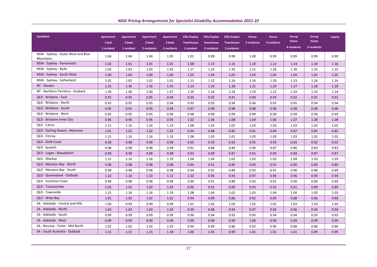| <b>Location</b>                                 | <b>Apartment</b><br>1 bed<br>1 resident | Apartment<br>2 beds<br>1 resident | <b>Apartment</b><br>2 beds<br>2 residents | <b>Apartment</b><br>3 beds<br>2 residents | <b>Villa Duplex</b><br><b>Townhouse</b><br>1 resident | <b>Villa Duplex</b><br><b>Townhouse</b><br>2 residents | <b>Villa Duplex</b><br><b>Townhouse</b><br>3 residents | House<br>2 residents | House<br>3 residents | Group<br><b>Home</b><br>4 residents | Group<br><b>Home</b><br>5 residents | Legacy |
|-------------------------------------------------|-----------------------------------------|-----------------------------------|-------------------------------------------|-------------------------------------------|-------------------------------------------------------|--------------------------------------------------------|--------------------------------------------------------|----------------------|----------------------|-------------------------------------|-------------------------------------|--------|
| NSW - Sydney - Outer West and Blue<br>Mountains | 1.04                                    | 1.04                              | 1.04                                      | 1.05                                      | 1.01                                                  | 0.99                                                   | 0.99                                                   | 1.00                 | 0.99                 | 0.99                                | 0.99                                | 0.99   |
| NSW - Sydney - Parramatta                       | 1.02                                    | 1.01                              | 1.01                                      | 1.01                                      | 1.08                                                  | 1.13                                                   | 1.16                                                   | 1.10                 | 1.12                 | 1.14                                | 1.16                                | 1.16   |
| NSW - Sydney - Ryde                             | 1.03                                    | 1.03                              | 1.03                                      | 1.02                                      | 1.17                                                  | 1.29                                                   | 1.35                                                   | 1.21                 | 1.26                 | 1.30                                | 1.35                                | 1.35   |
| NSW - Sydney - South West                       | 1.00                                    | 1.00                              | 1.00                                      | 1.00                                      | 1.03                                                  | 1.04                                                   | 1.05                                                   | 1.03                 | 1.04                 | 1.04                                | 1.05                                | 1.05   |
| NSW - Sydney - Sutherland                       | 1.02                                    | 1.02                              | 1.02                                      | 1.02                                      | 1.13                                                  | 1.22                                                   | 1.26                                                   | 1.16                 | 1.20                 | 1.23                                | 1.26                                | 1.26   |
| NT - Darwin                                     | 1.35                                    | 1.36                              | 1.36                                      | 1.41                                      | 1.29                                                  | 1.26                                                   | 1.28                                                   | 1.21                 | 1.24                 | 1.27                                | 1.28                                | 1.28   |
| NT - Northern Territory - Outback               | 1.39                                    | 1.40                              | 1.40                                      | 1.47                                      | 1.29                                                  | 1.24                                                   | 1.24                                                   | 1.19                 | 1.22                 | 1.24                                | 1.24                                | 1.24   |
| QLD - Brisbane - East                           | 0.95                                    | 0.95                              | 0.95                                      | 0.94                                      | 0.93                                                  | 0.92                                                   | 0.91                                                   | 0.94                 | 0.93                 | 0.92                                | 0.91                                | 0.91   |
| QLD - Brisbane - North                          | 0.95                                    | 0.95                              | 0.95                                      | 0.94                                      | 0.95                                                  | 0.95                                                   | 0.94                                                   | 0.96                 | 0.95                 | 0.95                                | 0.94                                | 0.94   |
| QLD - Brisbane - South                          | 0.95                                    | 0.95                              | 0.95                                      | 0.94                                      | 0.97                                                  | 0.98                                                   | 0.98                                                   | 0.98                 | 0.98                 | 0.98                                | 0.98                                | 0.98   |
| QLD - Brisbane - West                           | 0.95                                    | 0.95                              | 0.95                                      | 0.94                                      | 0.98                                                  | 0.99                                                   | 0.99                                                   | 0.99                 | 0.99                 | 0.99                                | 0.99                                | 0.99   |
| QLD - Brisbane Inner City                       | 0.96                                    | 0.96                              | 0.96                                      | 0.95                                      | 1.02                                                  | 1.06                                                   | 1.08                                                   | 1.04                 | 1.06                 | 1.07                                | 1.08                                | 1.08   |
| <b>QLD - Cairns</b>                             | 1.15                                    | 1.16                              | 1.16                                      | 1.19                                      | 1.08                                                  | 1.03                                                   | 1.02                                                   | 1.03                 | 1.03                 | 1.03                                | 1.02                                | 1.02   |
| QLD - Darling Downs - Maranoa                   | 1.01                                    | 1.02                              | 1.02                                      | 1.02                                      | 0.94                                                  | 0.88                                                   | 0.85                                                   | 0.91                 | 0.89                 | 0.87                                | 0.85                                | 0.85   |
| QLD - Fitzroy                                   | 1.15                                    | 1.16                              | 1.16                                      | 1.19                                      | 1.08                                                  | 1.03                                                   | 1.01                                                   | 1.03                 | 1.03                 | 1.03                                | 1.02                                | 1.02   |
| QLD - Gold Coast                                | 0.98                                    | 0.98                              | 0.98                                      | 0.98                                      | 0.95                                                  | 0.93                                                   | 0.92                                                   | 0.95                 | 0.94                 | 0.93                                | 0.92                                | 0.92   |
| QLD - Ipswich                                   | 0.98                                    | 0.98                              | 0.98                                      | 0.98                                      | 0.91                                                  | 0.86                                                   | 0.84                                                   | 0.90                 | 0.87                 | 0.86                                | 0.83                                | 0.83   |
| QLD - Logan - Beaudesert                        | 0.98                                    | 0.98                              | 0.98                                      | 0.98                                      | 0.93                                                  | 0.89                                                   | 0.87                                                   | 0.92                 | 0.90                 | 0.89                                | 0.87                                | 0.87   |
| QLD - Mackay                                    | 1.15                                    | 1.16                              | 1.16                                      | 1.19                                      | 1.08                                                  | 1.04                                                   | 1.02                                                   | 1.03                 | 1.03                 | 1.04                                | 1.03                                | 1.03   |
| QLD - Moreton Bay - North                       | 0.98                                    | 0.98                              | 0.98                                      | 0.98                                      | 0.94                                                  | 0.91                                                   | 0.89                                                   | 0.93                 | 0.91                 | 0.90                                | 0.89                                | 0.89   |
| QLD - Moreton Bay - South                       | 0.98                                    | 0.98                              | 0.98                                      | 0.98                                      | 0.94                                                  | 0.91                                                   | 0.89                                                   | 0.93                 | 0.91                 | 0.90                                | 0.89                                | 0.89   |
| QLD - Queensland - Outback                      | 1.10                                    | 1.10                              | 1.10                                      | 1.12                                      | 1.02                                                  | 0.96                                                   | 0.94                                                   | 0.97                 | 0.96                 | 0.96                                | 0.94                                | 0.94   |
| QLD - Sunshine Coast                            | 0.98                                    | 0.98                              | 0.98                                      | 0.98                                      | 0.94                                                  | 0.91                                                   | 0.89                                                   | 0.93                 | 0.91                 | 0.90                                | 0.89                                | 0.89   |
| QLD - Toowoomba                                 | 1.02                                    | 1.02                              | 1.02                                      | 1.03                                      | 0.96                                                  | 0.91                                                   | 0.89                                                   | 0.93                 | 0.92                 | 0.91                                | 0.89                                | 0.89   |
| QLD - Townsville                                | 1.15                                    | 1.16                              | 1.16                                      | 1.19                                      | 1.08                                                  | 1.04                                                   | 1.02                                                   | 1.03                 | 1.04                 | 1.04                                | 1.03                                | 1.03   |
| QLD - Wide Bay                                  | 1.01                                    | 1.02                              | 1.02                                      | 1.02                                      | 0.94                                                  | 0.89                                                   | 0.86                                                   | 0.92                 | 0.89                 | 0.88                                | 0.86                                | 0.86   |
| SA - Adelaide - Central and Hills               | 1.00                                    | 0.99                              | 0.99                                      | 0.99                                      | 1.01                                                  | 1.02                                                   | 1.03                                                   | 1.02                 | 1.02                 | 1.03                                | 1.03                                | 1.03   |
| SA - Adelaide - North                           | 1.03                                    | 1.03                              | 1.03                                      | 1.03                                      | 0.99                                                  | 0.96                                                   | 0.94                                                   | 0.97                 | 0.96                 | 0.96                                | 0.94                                | 0.94   |
| SA - Adelaide - South                           | 0.99                                    | 0.99                              | 0.99                                      | 0.99                                      | 0.96                                                  | 0.94                                                   | 0.93                                                   | 0.95                 | 0.94                 | 0.94                                | 0.93                                | 0.93   |
| SA - Adelaide - West                            | 0.99                                    | 0.99                              | 0.99                                      | 0.99                                      | 0.99                                                  | 0.99                                                   | 0.99                                                   | 1.00                 | 0.99                 | 0.99                                | 0.99                                | 0.99   |
| SA - Barossa - Yorke - Mid North                | 1.02                                    | 1.02                              | 1.02                                      | 1.03                                      | 0.94                                                  | 0.89                                                   | 0.86                                                   | 0.92                 | 0.90                 | 0.88                                | 0.86                                | 0.86   |
| SA - South Australia - Outback                  | 1.15                                    | 1.15                              | 1.15                                      | 1.18                                      | 1.06                                                  | 1.01                                                   | 0.99                                                   | 1.01                 | 1.01                 | 1.01                                | 0.99                                | 0.99   |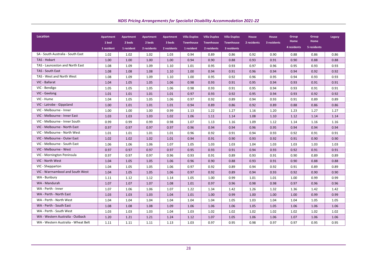| <b>Location</b>                     | <b>Apartment</b>    | <b>Apartment</b>     | <b>Apartment</b>      | <b>Apartment</b>      | <b>Villa Duplex</b>            | <b>Villa Duplex</b>             | <b>Villa Duplex</b>             | <b>House</b> | <b>House</b> | Group<br>Home | Group<br>Home | Legacy |
|-------------------------------------|---------------------|----------------------|-----------------------|-----------------------|--------------------------------|---------------------------------|---------------------------------|--------------|--------------|---------------|---------------|--------|
|                                     | 1 bed<br>1 resident | 2 beds<br>1 resident | 2 beds<br>2 residents | 3 beds<br>2 residents | <b>Townhouse</b><br>1 resident | <b>Townhouse</b><br>2 residents | <b>Townhouse</b><br>3 residents | 2 residents  | 3 residents  | 4 residents   | 5 residents   |        |
| SA - South Australia - South East   |                     |                      |                       |                       |                                |                                 |                                 |              |              |               |               |        |
| TAS - Hobart                        | 1.02                | 1.02                 | 1.02                  | 1.03                  | 0.94                           | 0.89                            | 0.86                            | 0.92         | 0.90         | 0.88          | 0.86          | 0.86   |
| TAS - Launceston and North East     | 1.00                | 1.00                 | 1.00                  | 1.00                  | 0.94                           | 0.90                            | 0.88                            | 0.93         | 0.91         | 0.90          | 0.88          | 0.88   |
| TAS - South East                    | 1.08                | 1.09                 | 1.09                  | 1.10                  | 1.01                           | 0.95                            | 0.93                            | 0.97         | 0.96         | 0.95          | 0.93          | 0.93   |
| TAS - West and North West           | 1.08                | 1.08                 | 1.08                  | 1.10                  | 1.00                           | 0.94                            | 0.91                            | 0.96         | 0.94         | 0.94          | 0.92          | 0.92   |
|                                     | 1.08                | 1.09                 | 1.09                  | 1.10                  | 1.00                           | 0.95                            | 0.92                            | 0.96         | 0.95         | 0.94          | 0.93          | 0.93   |
| VIC - Ballarat                      | 1.04                | 1.05                 | 1.05                  | 1.06                  | 0.98                           | 0.93                            | 0.91                            | 0.95         | 0.94         | 0.93          | 0.91          | 0.91   |
| VIC - Bendigo                       | 1.05                | 1.05                 | 1.05                  | 1.06                  | 0.98                           | 0.93                            | 0.91                            | 0.95         | 0.94         | 0.93          | 0.91          | 0.91   |
| VIC - Geelong                       | 1.01                | 1.01                 | 1.01                  | 1.01                  | 0.97                           | 0.93                            | 0.92                            | 0.95         | 0.94         | 0.93          | 0.92          | 0.92   |
| VIC - Hume                          | 1.04                | 1.05                 | 1.05                  | 1.06                  | 0.97                           | 0.92                            | 0.89                            | 0.94         | 0.93         | 0.91          | 0.89          | 0.89   |
| VIC - Latrobe - Gippsland           | 1.00                | 1.01                 | 1.01                  | 1.01                  | 0.94                           | 0.89                            | 0.86                            | 0.92         | 0.89         | 0.88          | 0.86          | 0.86   |
| VIC - Melbourne - Inner             | 1.00                | 1.00                 | 1.00                  | 0.99                  | 1.13                           | 1.22                            | 1.27                            | 1.16         | 1.20         | 1.23          | 1.27          | 1.27   |
| VIC - Melbourne - Inner East        | 1.03                | 1.03                 | 1.03                  | 1.02                  | 1.06                           | 1.11                            | 1.14                            | 1.08         | 1.10         | 1.12          | 1.14          | 1.14   |
| VIC - Melbourne - Inner South       | 0.99                | 0.99                 | 0.99                  | 0.98                  | 1.07                           | 1.13                            | 1.16                            | 1.09         | 1.12         | 1.14          | 1.16          | 1.16   |
| VIC - Melbourne - North East        | 0.97                | 0.97                 | 0.97                  | 0.97                  | 0.96                           | 0.94                            | 0.94                            | 0.96         | 0.95         | 0.94          | 0.94          | 0.94   |
| VIC - Melbourne - North West        | 1.01                | 1.01                 | 1.01                  | 1.01                  | 0.96                           | 0.92                            | 0.91                            | 0.94         | 0.93         | 0.92          | 0.91          | 0.91   |
| VIC - Melbourne - Outer East        | 1.02                | 1.02                 | 1.02                  | 1.01                  | 0.94                           | 0.91                            | 0.90                            | 0.93         | 0.92         | 0.91          | 0.90          | 0.90   |
| VIC - Melbourne - South East        | 1.06                | 1.06                 | 1.06                  | 1.07                  | 1.05                           | 1.03                            | 1.03                            | 1.04         | 1.03         | 1.03          | 1.03          | 1.03   |
| VIC - Melbourne - West              | 0.97                | 0.97                 | 0.97                  | 0.97                  | 0.95                           | 0.93                            | 0.91                            | 0.94         | 0.93         | 0.92          | 0.91          | 0.91   |
| VIC - Mornington Peninsula          | 0.97                | 0.97                 | 0.97                  | 0.96                  | 0.93                           | 0.91                            | 0.89                            | 0.93         | 0.91         | 0.90          | 0.89          | 0.89   |
| VIC - North West                    | 1.04                | 1.05                 | 1.05                  | 1.06                  | 0.96                           | 0.90                            | 0.88                            | 0.93         | 0.91         | 0.90          | 0.88          | 0.88   |
| VIC - Shepparton                    | 1.04                | 1.05                 | 1.05                  | 1.06                  | 0.97                           | 0.92                            | 0.89                            | 0.94         | 0.92         | 0.91          | 0.89          | 0.89   |
| VIC - Warrnambool and South West    | 1.04                | 1.05                 | 1.05                  | 1.06                  | 0.97                           | 0.92                            | 0.89                            | 0.94         | 0.93         | 0.92          | 0.90          | 0.90   |
| WA - Bunbury                        | 1.11                | 1.12                 | 1.12                  | 1.14                  | 1.05                           | 1.00                            | 0.99                            | 1.01         | 1.01         | 1.00          | 0.99          | 0.99   |
| WA - Mandurah                       | 1.07                | 1.07                 | 1.07                  | 1.08                  | 1.01                           | 0.97                            | 0.96                            | 0.98         | 0.98         | 0.97          | 0.96          | 0.96   |
| WA - Perth - Inner                  | 1.07                | 1.06                 | 1.06                  | 1.07                  | 1.22                           | 1.34                            | 1.42                            | 1.26         | 1.32         | 1.36          | 1.42          | 1.42   |
| WA - Perth - North East             | 1.03                | 1.03                 | 1.03                  | 1.04                  | 1.01                           | 1.00                            | 0.99                            | 1.00         | 1.00         | 1.00          | 0.99          | 0.99   |
| WA - Perth - North West             | 1.04                | 1.04                 | 1.04                  | 1.04                  | 1.04                           | 1.04                            | 1.05                            | 1.03         | 1.04         | 1.04          | 1.05          | 1.05   |
| WA - Perth - South East             | 1.08                | 1.08                 | 1.08                  | 1.09                  | 1.06                           | 1.06                            | 1.06                            | 1.05         | 1.05         | 1.06          | 1.06          | 1.06   |
| WA - Perth - South West             | 1.03                | 1.03                 | 1.03                  | 1.04                  | 1.03                           | 1.02                            | 1.02                            | 1.02         | 1.02         | 1.02          | 1.02          | 1.02   |
| WA - Western Australia - Outback    | 1.20                | 1.21                 | 1.21                  | 1.24                  | 1.12                           | 1.07                            | 1.05                            | 1.06         | 1.06         | 1.07          | 1.06          | 1.06   |
| WA - Western Australia - Wheat Belt | 1.11                | 1.11                 | 1.11                  | 1.13                  | 1.03                           | 0.97                            | 0.95                            | 0.98         | 0.97         | 0.97          | 0.95          | 0.95   |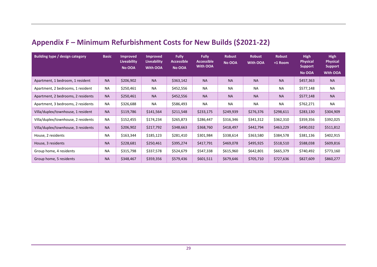## **Appendix F – Minimum Refurbishment Costs for New Builds (\$2021-22)**

<span id="page-28-0"></span>

| <b>Building type / design category</b> | <b>Basic</b> | <b>Improved</b><br>Liveability<br>No OOA | <b>Improved</b><br><b>Liveability</b><br><b>With OOA</b> | <b>Fully</b><br>Accessible <b>'</b><br>No OOA | <b>Fully</b><br><b>Accessible</b><br><b>With OOA</b> | <b>Robust</b><br>No OOA | <b>Robust</b><br><b>With OOA</b> | <b>Robust</b><br>+1 Room | <b>High</b><br><b>Physical</b><br><b>Support</b><br>No OOA | <b>High</b><br><b>Physical</b><br><b>Support</b><br><b>With OOA</b> |
|----------------------------------------|--------------|------------------------------------------|----------------------------------------------------------|-----------------------------------------------|------------------------------------------------------|-------------------------|----------------------------------|--------------------------|------------------------------------------------------------|---------------------------------------------------------------------|
| Apartment, 1 bedroom, 1 resident       | <b>NA</b>    | \$206,902                                | <b>NA</b>                                                | \$363,142                                     | <b>NA</b>                                            | <b>NA</b>               | <b>NA</b>                        | <b>NA</b>                | \$457,363                                                  | <b>NA</b>                                                           |
| Apartment, 2 bedrooms, 1 resident      | <b>NA</b>    | \$250,461                                | <b>NA</b>                                                | \$452,556                                     | <b>NA</b>                                            | NA                      | <b>NA</b>                        | <b>NA</b>                | \$577,148                                                  | <b>NA</b>                                                           |
| Apartment, 2 bedrooms, 2 residents     | <b>NA</b>    | \$250,461                                | <b>NA</b>                                                | \$452,556                                     | <b>NA</b>                                            | <b>NA</b>               | <b>NA</b>                        | <b>NA</b>                | \$577,148                                                  | <b>NA</b>                                                           |
| Apartment, 3 bedrooms, 2 residents     | <b>NA</b>    | \$326,688                                | <b>NA</b>                                                | \$586,493                                     | <b>NA</b>                                            | <b>NA</b>               | <b>NA</b>                        | NA                       | \$762,271                                                  | NA                                                                  |
| Villa/duplex/townhouse, 1 resident     | <b>NA</b>    | \$119,786                                | \$141,564                                                | \$211,548                                     | \$233,175                                            | \$249,939               | \$276,376                        | \$298,611                | \$283,130                                                  | \$304,909                                                           |
| Villa/duplex/townhouse, 2 residents    | <b>NA</b>    | \$152,455                                | \$174,234                                                | \$265,873                                     | \$286,447                                            | \$316,346               | \$341,312                        | \$362,310                | \$359,356                                                  | \$392,025                                                           |
| Villa/duplex/townhouse, 3 residents    | <b>NA</b>    | \$206,902                                | \$217,792                                                | \$348,663                                     | \$368,760                                            | \$418,497               | \$442,794                        | \$463,229                | \$490,032                                                  | \$511,812                                                           |
| House, 2 residents                     | <b>NA</b>    | \$163,344                                | \$185,123                                                | \$281,410                                     | \$301,984                                            | \$338,614               | \$363,580                        | \$384,578                | \$381,136                                                  | \$402,915                                                           |
| House, 3 residents                     | <b>NA</b>    | \$228,681                                | \$250,461                                                | \$395,274                                     | \$417,791                                            | \$469,078               | \$495,925                        | \$518,510                | \$588,038                                                  | \$609,816                                                           |
| Group home, 4 residents                | <b>NA</b>    | \$315,798                                | \$337,578                                                | \$524,679                                     | \$547,338                                            | \$615,960               | \$642,801                        | \$665,379                | \$740,492                                                  | \$773,160                                                           |
| Group home, 5 residents                | <b>NA</b>    | \$348,467                                | \$359,356                                                | \$579,436                                     | \$601,511                                            | \$679,646               | \$705,710                        | \$727,636                | \$827,609                                                  | \$860,277                                                           |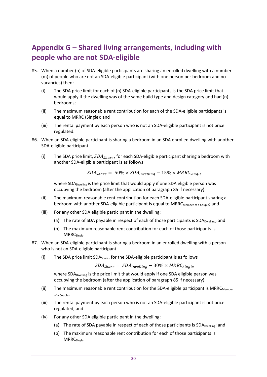## <span id="page-29-0"></span>**Appendix G – Shared living arrangements, including with people who are not SDA-eligible**

- <span id="page-29-1"></span>85. When a number (n) of SDA-eligible participants are sharing an enrolled dwelling with a number (m) of people who are not an SDA-eligible participant (with one person per bedroom and no vacancies) then:
	- (i) The SDA price limit for each of (n) SDA-eligible participants is the SDA price limit that would apply if the dwelling was of the same build type and design category and had (n) bedrooms;
	- (ii) The maximum reasonable rent contribution for each of the SDA-eligible participants is equal to MRRC (Single); and
	- (iii) The rental payment by each person who is not an SDA-eligible participant is not price regulated.
- 86. When an SDA-eligible participant is sharing a bedroom in an SDA enrolled dwelling with another SDA-eligible participant
	- (i) The SDA price limit,  $SDA_{Share}$ , for each SDA-eligible participant sharing a bedroom with another SDA-eligible participant is as follows

$$
SDA_{Share} = 50\% \times SDA_{Dwelling} - 15\% \times MRRC_{Single}
$$

where SDA<sub>Dwelling</sub> is the price limit that would apply if one SDA eligible person was occupying the bedroom (after the application of paragraph [85](#page-29-1) if necessary):

- (ii) The maximum reasonable rent contribution for each SDA-eligible participant sharing a bedroom with another SDA-eligible participant is equal to  $MRRC_{Membero}$  a Couple; and
- (iii) For any other SDA eligible participant in the dwelling:
	- (a) The rate of SDA payable in respect of each of those participants is  $SDA_{Dwelling}$ ; and
	- (b) The maximum reasonable rent contribution for each of those participants is MRRCSingle.
- 87. When an SDA-eligible participant is sharing a bedroom in an enrolled dwelling with a person who is not an SDA-eligible participant:
	- (i) The SDA price limit SDA $_{\text{Share}}$ , for the SDA-eligible participant is as follows

 $SDA_{Share} = SDA_{Dwelling} - 30\% \times MRRC_{Single}$ 

where SDA<sub>Dwelling</sub> is the price limit that would apply if one SDA eligible person was occupying the bedroom (after the application of paragraph [85](#page-29-1) if necessary):

- (ii) The maximum reasonable rent contribution for the SDA-eligible participant is  $MRRC_{Member}$ of a Couple.
- (iii) The rental payment by each person who is not an SDA-eligible participant is not price regulated; and
- (iv) For any other SDA eligible participant in the dwelling:
	- (a) The rate of SDA payable in respect of each of those participants is  $SDA_{Dwelling}$ ; and
	- (b) The maximum reasonable rent contribution for each of those participants is MRRC<sub>Single</sub>.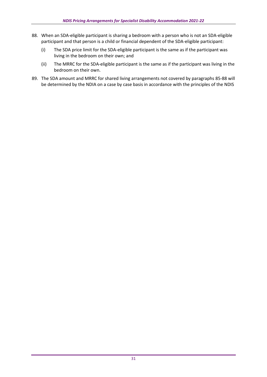- <span id="page-30-0"></span>88. When an SDA-eligible participant is sharing a bedroom with a person who is not an SDA-eligible participant and that person is a child or financial dependent of the SDA-eligible participant:
	- (i) The SDA price limit for the SDA-eligible participant is the same as if the participant was living in the bedroom on their own; and
	- (ii) The MRRC for the SDA-eligible participant is the same as if the participant was living in the bedroom on their own.
- 89. The SDA amount and MRRC for shared living arrangements not covered by paragraphs [85-](#page-29-1)[88](#page-30-0) will be determined by the NDIA on a case by case basis in accordance with the principles of the NDIS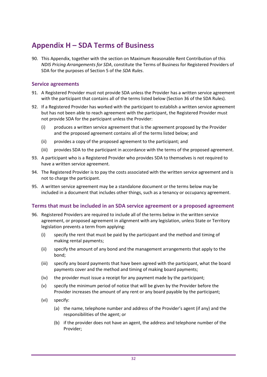## <span id="page-31-0"></span>**Appendix H – SDA Terms of Business**

90. This Appendix, together with the section on [Maximum Reasonable Rent Contribution](#page-8-0) of this *NDIS Pricing Arrangements for SDA*, constitute the Terms of Business for Registered Providers of SDA for the purposes of Section 5 of the *SDA Rules*.

## <span id="page-31-1"></span>**Service agreements**

- 91. A Registered Provider must not provide SDA unless the Provider has a written service agreement with the participant that contains all of the terms listed below (Section 36 of the SDA Rules).
- 92. If a Registered Provider has worked with the participant to establish a written service agreement but has not been able to reach agreement with the participant, the Registered Provider must not provide SDA for the participant unless the Provider:
	- (i) produces a written service agreement that is the agreement proposed by the Provider and the proposed agreement contains all of the terms listed below; and
	- (ii) provides a copy of the proposed agreement to the participant; and
	- (iii) provides SDA to the participant in accordance with the terms of the proposed agreement.
- 93. A participant who is a Registered Provider who provides SDA to themselves is not required to have a written service agreement.
- 94. The Registered Provider is to pay the costs associated with the written service agreement and is not to charge the participant.
- 95. A written service agreement may be a standalone document or the terms below may be included in a document that includes other things, such as a tenancy or occupancy agreement.

### <span id="page-31-2"></span>**Terms that must be included in an SDA service agreement or a proposed agreement**

- <span id="page-31-3"></span>96. Registered Providers are required to include all of the terms below in the written service agreement, or proposed agreement in alignment with any legislation, unless State or Territory legislation prevents a term from applying:
	- (i) specify the rent that must be paid by the participant and the method and timing of making rental payments;
	- (ii) specify the amount of any bond and the management arrangements that apply to the bond;
	- (iii) specify any board payments that have been agreed with the participant, what the board payments cover and the method and timing of making board payments;
	- (iv) the provider must issue a receipt for any payment made by the participant;
	- (v) specify the minimum period of notice that will be given by the Provider before the Provider increases the amount of any rent or any board payable by the participant;
	- (vi) specify:
		- (a) the name, telephone number and address of the Provider's agent (if any) and the responsibilities of the agent; or
		- (b) if the provider does not have an agent, the address and telephone number of the Provider;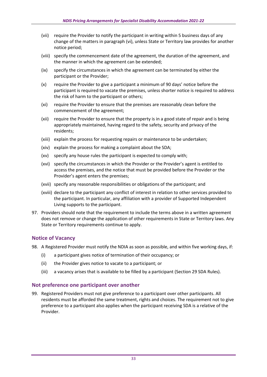- (vii) require the Provider to notify the participant in writing within 5 business days of any change of the matters in paragraph [\(vi\),](#page-31-3) unless State or Territory law provides for another notice period;
- (viii) specify the commencement date of the agreement, the duration of the agreement, and the manner in which the agreement can be extended;
- (ix) specify the circumstances in which the agreement can be terminated by either the participant or the Provider;
- (x) require the Provider to give a participant a minimum of 90 days' notice before the participant is required to vacate the premises, unless shorter notice is required to address the risk of harm to the participant or others;
- (xi) require the Provider to ensure that the premises are reasonably clean before the commencement of the agreement;
- (xii) require the Provider to ensure that the property is in a good state of repair and is being appropriately maintained, having regard to the safety, security and privacy of the residents;
- (xiii) explain the process for requesting repairs or maintenance to be undertaken;
- (xiv) explain the process for making a complaint about the SDA;
- (xv) specify any house rules the participant is expected to comply with;
- (xvi) specify the circumstances in which the Provider or the Provider's agent is entitled to access the premises, and the notice that must be provided before the Provider or the Provider's agent enters the premises;
- (xvii) specify any reasonable responsibilities or obligations of the participant; and
- (xviii) declare to the participant any conflict of interest in relation to other services provided to the participant. In particular, any affiliation with a provider of Supported Independent Living supports to the participant.
- 97. Providers should note that the requirement to include the terms above in a written agreement does not remove or change the application of other requirements in State or Territory laws. Any State or Territory requirements continue to apply.

### <span id="page-32-0"></span>**Notice of Vacancy**

- 98. A Registered Provider must notify the NDIA as soon as possible, and within five working days, if:
	- (i) a participant gives notice of termination of their occupancy; or
	- (ii) the Provider gives notice to vacate to a participant; or
	- (iii) a vacancy arises that is available to be filled by a participant (Section 29 SDA Rules).

### <span id="page-32-1"></span>**Not preference one participant over another**

99. Registered Providers must not give preference to a participant over other participants. All residents must be afforded the same treatment, rights and choices. The requirement not to give preference to a participant also applies when the participant receiving SDA is a relative of the Provider.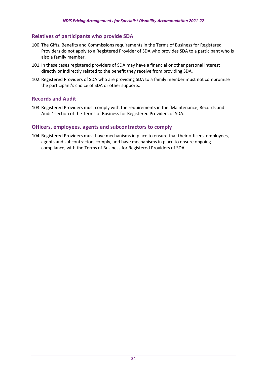## <span id="page-33-0"></span>**Relatives of participants who provide SDA**

- 100. The Gifts, Benefits and Commissions requirements in the Terms of Business for Registered Providers do not apply to a Registered Provider of SDA who provides SDA to a participant who is also a family member.
- 101. In these cases registered providers of SDA may have a financial or other personal interest directly or indirectly related to the benefit they receive from providing SDA.
- 102. Registered Providers of SDA who are providing SDA to a family member must not compromise the participant's choice of SDA or other supports.

### <span id="page-33-1"></span>**Records and Audit**

103. Registered Providers must comply with the requirements in the 'Maintenance, Records and Audit' section of the Terms of Business for Registered Providers of SDA.

### <span id="page-33-2"></span>**Officers, employees, agents and subcontractors to comply**

104. Registered Providers must have mechanisms in place to ensure that their officers, employees, agents and subcontractors comply, and have mechanisms in place to ensure ongoing compliance, with the Terms of Business for Registered Providers of SDA.